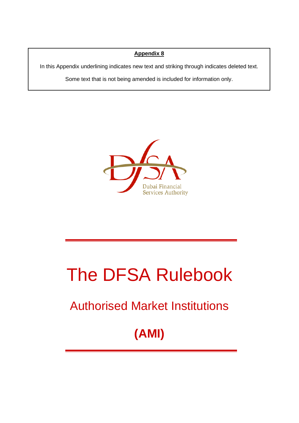## **Appendix 8**

In this Appendix underlining indicates new text and striking through indicates deleted text.

Some text that is not being amended is included for information only.



# The DFSA Rulebook

# Authorised Market Institutions

# **(AMI)**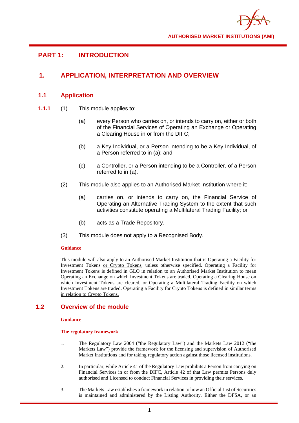

# **PART 1: INTRODUCTION**

# **1. APPLICATION, INTERPRETATION AND OVERVIEW**

## **1.1 Application**

- **1.1.1** (1) This module applies to:
	- (a) every Person who carries on, or intends to carry on, either or both of the Financial Services of Operating an Exchange or Operating a Clearing House in or from the DIFC;
	- (b) a Key Individual, or a Person intending to be a Key Individual, of a Person referred to in (a); and
	- (c) a Controller, or a Person intending to be a Controller, of a Person referred to in (a).
	- (2) This module also applies to an Authorised Market Institution where it:
		- (a) carries on, or intends to carry on, the Financial Service of Operating an Alternative Trading System to the extent that such activities constitute operating a Multilateral Trading Facility; or
		- (b) acts as a Trade Repository.
	- (3) This module does not apply to a Recognised Body.

## **Guidance**

This module will also apply to an Authorised Market Institution that is Operating a Facility for Investment Tokens or Crypto Tokens, unless otherwise specified. Operating a Facility for Investment Tokens is defined in GLO in relation to an Authorised Market Institution to mean Operating an Exchange on which Investment Tokens are traded, Operating a Clearing House on which Investment Tokens are cleared, or Operating a Multilateral Trading Facility on which Investment Tokens are traded. Operating a Facility for Crypto Tokens is defined in similar terms in relation to Crypto Tokens.

## **1.2 Overview of the module**

#### **Guidance**

#### **The regulatory framework**

- 1. The Regulatory Law 2004 ("the Regulatory Law") and the Markets Law 2012 ("the Markets Law") provide the framework for the licensing and supervision of Authorised Market Institutions and for taking regulatory action against those licensed institutions.
- 2. In particular, while Article 41 of the Regulatory Law prohibits a Person from carrying on Financial Services in or from the DIFC, Article 42 of that Law permits Persons duly authorised and Licensed to conduct Financial Services in providing their services.
- 3. The Markets Law establishes a framework in relation to how an Official List of Securities is maintained and administered by the Listing Authority. Either the DFSA, or an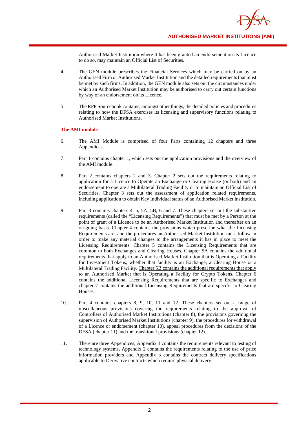Authorised Market Institution where it has been granted an endorsement on its Licence to do so, may maintain an Official List of Securities.

- 4. The GEN module prescribes the Financial Services which may be carried on by an Authorised Firm or Authorised Market Institution and the detailed requirements that must be met by such firms. In addition, the GEN module also sets out the circumstances under which an Authorised Market Institution may be authorised to carry out certain functions by way of an endorsement on its Licence.
- 5. The RPP Sourcebook contains, amongst other things, the detailed policies and procedures relating to how the DFSA exercises its licensing and supervisory functions relating to Authorised Market Institutions.

#### **The AMI module**

- 6. The AMI Module is comprised of four Parts containing 12 chapters and three Appendices.
- 7. Part 1 contains chapter 1, which sets out the application provisions and the overview of the AMI module.
- 8. Part 2 contains chapters 2 and 3. Chapter 2 sets out the requirements relating to application for a Licence to Operate an Exchange or Clearing House (or both) and an endorsement to operate a Multilateral Trading Facility or to maintain an Official List of Securities. Chapter 3 sets out the assessment of application related requirements, including application to obtain Key Individual status of an Authorised Market Institution.
- 9. Part 3 contains chapters 4, 5, 5A, 5B, 6 and 7. These chapters set out the substantive requirements (called the "Licensing Requirements") that must be met by a Person at the point of grant of a Licence to be an Authorised Market Institution and thereafter on an on-going basis. Chapter 4 contains the provisions which prescribe what the Licensing Requirements are, and the procedures an Authorised Market Institution must follow in order to make any material changes to the arrangements it has in place to meet the Licensing Requirements. Chapter 5 contains the Licensing Requirements that are common to both Exchanges and Clearing Houses. Chapter 5A contains the additional requirements that apply to an Authorised Market Institution that is Operating a Facility for Investment Tokens, whether that facility is an Exchange, a Clearing House or a Multilateral Trading Facility. Chapter 5B contains the additional requirements that apply to an Authorised Market that is Operating a Facility for Crypto Tokens. Chapter 6 contains the additional Licensing Requirements that are specific to Exchanges and chapter 7 contains the additional Licensing Requirements that are specific to Clearing Houses.
- 10. Part 4 contains chapters 8, 9, 10, 11 and 12. These chapters set out a range of miscellaneous provisions covering the requirements relating to the approval of Controllers of Authorised Market Institutions (chapter 8), the provisions governing the supervision of Authorised Market Institutions (chapter 9), the procedures for withdrawal of a Licence or endorsement (chapter 10), appeal procedures from the decisions of the DFSA (chapter 11) and the transitional provisions (chapter 12).
- 11. There are three Appendices, Appendix 1 contains the requirements relevant to testing of technology systems, Appendix 2 contains the requirements relating to the use of price information providers and Appendix 3 contains the contract delivery specifications applicable to Derivative contracts which require physical delivery.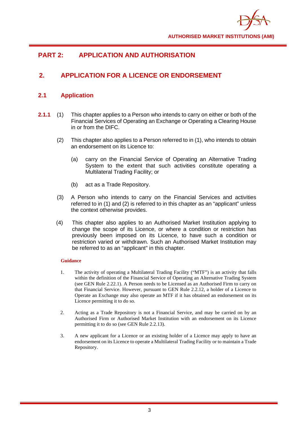

# **PART 2: APPLICATION AND AUTHORISATION**

# **2. APPLICATION FOR A LICENCE OR ENDORSEMENT**

## **2.1 Application**

- **2.1.1** (1) This chapter applies to a Person who intends to carry on either or both of the Financial Services of Operating an Exchange or Operating a Clearing House in or from the DIFC.
	- (2) This chapter also applies to a Person referred to in (1), who intends to obtain an endorsement on its Licence to:
		- (a) carry on the Financial Service of Operating an Alternative Trading System to the extent that such activities constitute operating a Multilateral Trading Facility; or
		- (b) act as a Trade Repository.
	- (3) A Person who intends to carry on the Financial Services and activities referred to in (1) and (2) is referred to in this chapter as an "applicant" unless the context otherwise provides.
	- (4) This chapter also applies to an Authorised Market Institution applying to change the scope of its Licence, or where a condition or restriction has previously been imposed on its Licence, to have such a condition or restriction varied or withdrawn. Such an Authorised Market Institution may be referred to as an "applicant" in this chapter.

- 1. The activity of operating a Multilateral Trading Facility ("MTF") is an activity that falls within the definition of the Financial Service of Operating an Alternative Trading System (see GEN Rule 2.22.1). A Person needs to be Licensed as an Authorised Firm to carry on that Financial Service. However, pursuant to GEN Rule 2.2.12, a holder of a Licence to Operate an Exchange may also operate an MTF if it has obtained an endorsement on its Licence permitting it to do so.
- 2. Acting as a Trade Repository is not a Financial Service, and may be carried on by an Authorised Firm or Authorised Market Institution with an endorsement on its Licence permitting it to do so (see GEN Rule 2.2.13).
- 3. A new applicant for a Licence or an existing holder of a Licence may apply to have an endorsement on its Licence to operate a Multilateral Trading Facility or to maintain a Trade Repository.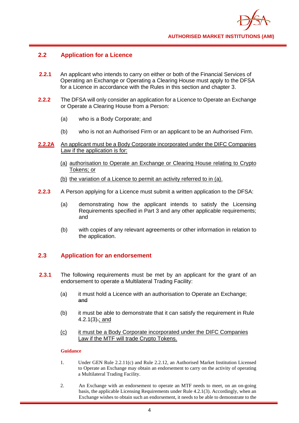

## **2.2 Application for a Licence**

- **2.2.1** An applicant who intends to carry on either or both of the Financial Services of Operating an Exchange or Operating a Clearing House must apply to the DFSA for a Licence in accordance with the Rules in this section and chapter 3.
- **2.2.2** The DFSA will only consider an application for a Licence to Operate an Exchange or Operate a Clearing House from a Person:
	- (a) who is a Body Corporate; and
	- (b) who is not an Authorised Firm or an applicant to be an Authorised Firm.
- 2.2.2A An applicant must be a Body Corporate incorporated under the DIFC Companies Law if the application is for:
	- (a) authorisation to Operate an Exchange or Clearing House relating to Crypto Tokens; or
	- (b) the variation of a Licence to permit an activity referred to in (a).
- **2.2.3** A Person applying for a Licence must submit a written application to the DFSA:
	- (a) demonstrating how the applicant intends to satisfy the Licensing Requirements specified in Part 3 and any other applicable requirements; and
	- (b) with copies of any relevant agreements or other information in relation to the application.

## **2.3 Application for an endorsement**

- **2.3.1** The following requirements must be met by an applicant for the grant of an endorsement to operate a Multilateral Trading Facility:
	- (a) it must hold a Licence with an authorisation to Operate an Exchange; and
	- (b) it must be able to demonstrate that it can satisfy the requirement in Rule 4.2.1(3).; and
	- (c) it must be a Body Corporate incorporated under the DIFC Companies Law if the MTF will trade Crypto Tokens.

- 1. Under GEN Rule 2.2.11(c) and Rule 2.2.12, an Authorised Market Institution Licensed to Operate an Exchange may obtain an endorsement to carry on the activity of operating a Multilateral Trading Facility.
- 2. An Exchange with an endorsement to operate an MTF needs to meet, on an on-going basis, the applicable Licensing Requirements under Rule 4.2.1(3). Accordingly, when an Exchange wishes to obtain such an endorsement, it needs to be able to demonstrate to the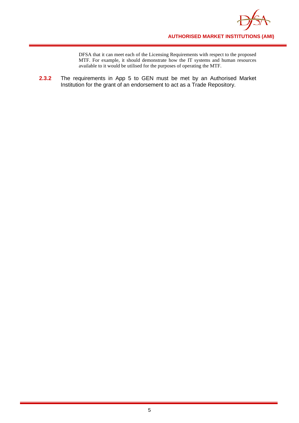

DFSA that it can meet each of the Licensing Requirements with respect to the proposed MTF. For example, it should demonstrate how the IT systems and human resources available to it would be utilised for the purposes of operating the MTF.

**2.3.2** The requirements in App 5 to GEN must be met by an Authorised Market Institution for the grant of an endorsement to act as a Trade Repository.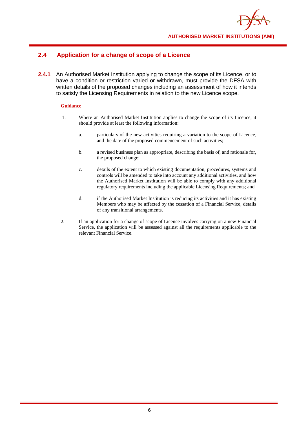

# **2.4 Application for a change of scope of a Licence**

**2.4.1** An Authorised Market Institution applying to change the scope of its Licence, or to have a condition or restriction varied or withdrawn, must provide the DFSA with written details of the proposed changes including an assessment of how it intends to satisfy the Licensing Requirements in relation to the new Licence scope.

- 1. Where an Authorised Market Institution applies to change the scope of its Licence, it should provide at least the following information:
	- a. particulars of the new activities requiring a variation to the scope of Licence, and the date of the proposed commencement of such activities;
	- b. a revised business plan as appropriate, describing the basis of, and rationale for, the proposed change;
	- c. details of the extent to which existing documentation, procedures, systems and controls will be amended to take into account any additional activities, and how the Authorised Market Institution will be able to comply with any additional regulatory requirements including the applicable Licensing Requirements; and
	- d. if the Authorised Market Institution is reducing its activities and it has existing Members who may be affected by the cessation of a Financial Service, details of any transitional arrangements.
- 2. If an application for a change of scope of Licence involves carrying on a new Financial Service, the application will be assessed against all the requirements applicable to the relevant Financial Service.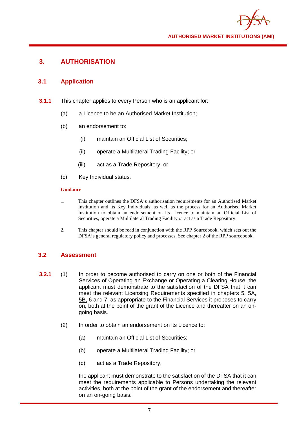

# **3. AUTHORISATION**

## **3.1 Application**

- **3.1.1** This chapter applies to every Person who is an applicant for:
	- (a) a Licence to be an Authorised Market Institution;
	- (b) an endorsement to:
		- (i) maintain an Official List of Securities;
		- (ii) operate a Multilateral Trading Facility; or
		- (iii) act as a Trade Repository; or
	- (c) Key Individual status.

#### **Guidance**

- 1. This chapter outlines the DFSA's authorisation requirements for an Authorised Market Institution and its Key Individuals, as well as the process for an Authorised Market Institution to obtain an endorsement on its Licence to maintain an Official List of Securities, operate a Multilateral Trading Facility or act as a Trade Repository.
- 2. This chapter should be read in conjunction with the RPP Sourcebook, which sets out the DFSA's general regulatory policy and processes. See chapter 2 of the RPP sourcebook.

## **3.2 Assessment**

- **3.2.1** (1) In order to become authorised to carry on one or both of the Financial Services of Operating an Exchange or Operating a Clearing House, the applicant must demonstrate to the satisfaction of the DFSA that it can meet the relevant Licensing Requirements specified in chapters 5, 5A, 5B, 6 and 7, as appropriate to the Financial Services it proposes to carry on, both at the point of the grant of the Licence and thereafter on an ongoing basis.
	- (2) In order to obtain an endorsement on its Licence to:
		- (a) maintain an Official List of Securities;
		- (b) operate a Multilateral Trading Facility; or
		- (c) act as a Trade Repository,

the applicant must demonstrate to the satisfaction of the DFSA that it can meet the requirements applicable to Persons undertaking the relevant activities, both at the point of the grant of the endorsement and thereafter on an on-going basis.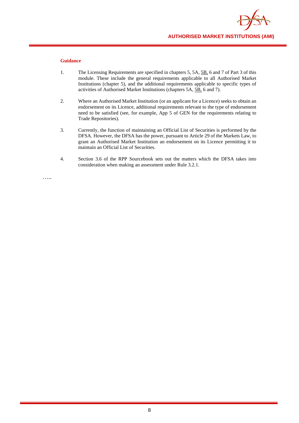

- 1. The Licensing Requirements are specified in chapters 5, 5A, 5B, 6 and 7 of Part 3 of this module. These include the general requirements applicable to all Authorised Market Institutions (chapter 5), and the additional requirements applicable to specific types of activities of Authorised Market Institutions (chapters 5A, 5B, 6 and 7).
- 2. Where an Authorised Market Institution (or an applicant for a Licence) seeks to obtain an endorsement on its Licence, additional requirements relevant to the type of endorsement need to be satisfied (see, for example, App 5 of GEN for the requirements relating to Trade Repositories).
- 3. Currently, the function of maintaining an Official List of Securities is performed by the DFSA. However, the DFSA has the power, pursuant to Article 29 of the Markets Law, to grant an Authorised Market Institution an endorsement on its Licence permitting it to maintain an Official List of Securities.
- 4. Section 3.6 of the RPP Sourcebook sets out the matters which the DFSA takes into consideration when making an assessment under Rule 3.2.1.

…..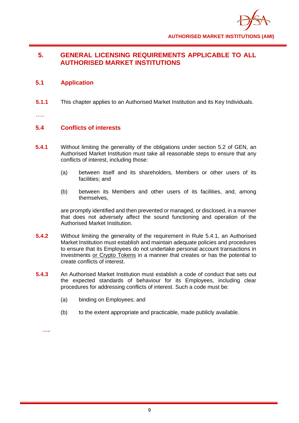

# **5. GENERAL LICENSING REQUIREMENTS APPLICABLE TO ALL AUTHORISED MARKET INSTITUTIONS**

## **5.1 Application**

**5.1.1** This chapter applies to an Authorised Market Institution and its Key Individuals.

…..

## **5.4 Conflicts of interests**

- **5.4.1** Without limiting the generality of the obligations under section 5.2 of GEN, an Authorised Market Institution must take all reasonable steps to ensure that any conflicts of interest, including those:
	- (a) between itself and its shareholders, Members or other users of its facilities; and
	- (b) between its Members and other users of its facilities, and, among themselves,

are promptly identified and then prevented or managed, or disclosed, in a manner that does not adversely affect the sound functioning and operation of the Authorised Market Institution.

- **5.4.2** Without limiting the generality of the requirement in Rule 5.4.1, an Authorised Market Institution must establish and maintain adequate policies and procedures to ensure that its Employees do not undertake personal account transactions in Investments or Crypto Tokens in a manner that creates or has the potential to create conflicts of interest.
- **5.4.3** An Authorised Market Institution must establish a code of conduct that sets out the expected standards of behaviour for its Employees, including clear procedures for addressing conflicts of interest. Such a code must be:
	- (a) binding on Employees; and
	- (b) to the extent appropriate and practicable, made publicly available.

**…..**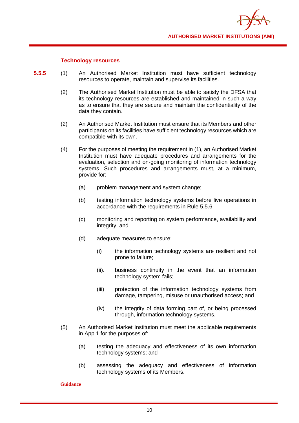

## **Technology resources**

- **5.5.5** (1) An Authorised Market Institution must have sufficient technology resources to operate, maintain and supervise its facilities.
	- (2) The Authorised Market Institution must be able to satisfy the DFSA that its technology resources are established and maintained in such a way as to ensure that they are secure and maintain the confidentiality of the data they contain.
	- (2) An Authorised Market Institution must ensure that its Members and other participants on its facilities have sufficient technology resources which are compatible with its own.
	- (4) For the purposes of meeting the requirement in (1), an Authorised Market Institution must have adequate procedures and arrangements for the evaluation, selection and on-going monitoring of information technology systems. Such procedures and arrangements must, at a minimum, provide for:
		- (a) problem management and system change;
		- (b) testing information technology systems before live operations in accordance with the requirements in Rule 5.5.6;
		- (c) monitoring and reporting on system performance, availability and integrity; and
		- (d) adequate measures to ensure:
			- (i) the information technology systems are resilient and not prone to failure;
			- (ii). business continuity in the event that an information technology system fails;
			- (iii) protection of the information technology systems from damage, tampering, misuse or unauthorised access; and
			- (iv) the integrity of data forming part of, or being processed through, information technology systems.
	- (5) An Authorised Market Institution must meet the applicable requirements in App 1 for the purposes of:
		- (a) testing the adequacy and effectiveness of its own information technology systems; and
		- (b) assessing the adequacy and effectiveness of information technology systems of its Members.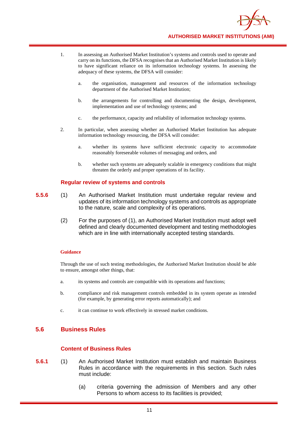

- 1. In assessing an Authorised Market Institution's systems and controls used to operate and carry on its functions, the DFSA recognises that an Authorised Market Institution is likely to have significant reliance on its information technology systems. In assessing the adequacy of these systems, the DFSA will consider:
	- a. the organisation, management and resources of the information technology department of the Authorised Market Institution;
	- b. the arrangements for controlling and documenting the design, development, implementation and use of technology systems; and
	- c. the performance, capacity and reliability of information technology systems.
- 2. In particular, when assessing whether an Authorised Market Institution has adequate information technology resourcing, the DFSA will consider:
	- a. whether its systems have sufficient electronic capacity to accommodate reasonably foreseeable volumes of messaging and orders, and
	- b. whether such systems are adequately scalable in emergency conditions that might threaten the orderly and proper operations of its facility.

#### **Regular review of systems and controls**

- **5.5.6** (1) An Authorised Market Institution must undertake regular review and updates of its information technology systems and controls as appropriate to the nature, scale and complexity of its operations.
	- (2) For the purposes of (1), an Authorised Market Institution must adopt well defined and clearly documented development and testing methodologies which are in line with internationally accepted testing standards.

#### **Guidance**

Through the use of such testing methodologies, the Authorised Market Institution should be able to ensure, amongst other things, that:

- a. its systems and controls are compatible with its operations and functions;
- b. compliance and risk management controls embedded in its system operate as intended (for example, by generating error reports automatically); and
- c. it can continue to work effectively in stressed market conditions.

## **5.6 Business Rules**

## **Content of Business Rules**

- **5.6.1** (1) An Authorised Market Institution must establish and maintain Business Rules in accordance with the requirements in this section. Such rules must include:
	- (a) criteria governing the admission of Members and any other Persons to whom access to its facilities is provided;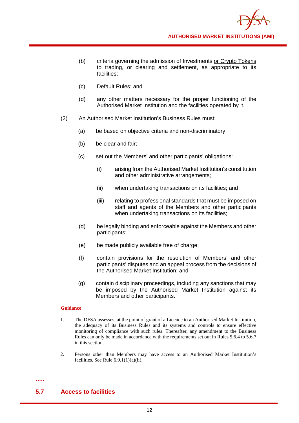- (b) criteria governing the admission of Investments or Crypto Tokens to trading, or clearing and settlement, as appropriate to its facilities;
- (c) Default Rules; and
- (d) any other matters necessary for the proper functioning of the Authorised Market Institution and the facilities operated by it.
- (2) An Authorised Market Institution's Business Rules must:
	- (a) be based on objective criteria and non-discriminatory;
	- (b) be clear and fair;
	- (c) set out the Members' and other participants' obligations:
		- (i) arising from the Authorised Market Institution's constitution and other administrative arrangements;
		- (ii) when undertaking transactions on its facilities; and
		- (iii) relating to professional standards that must be imposed on staff and agents of the Members and other participants when undertaking transactions on its facilities;
	- (d) be legally binding and enforceable against the Members and other participants;
	- (e) be made publicly available free of charge:
	- (f) contain provisions for the resolution of Members' and other participants' disputes and an appeal process from the decisions of the Authorised Market Institution; and
	- (g) contain disciplinary proceedings, including any sanctions that may be imposed by the Authorised Market Institution against its Members and other participants.

- 1. The DFSA assesses, at the point of grant of a Licence to an Authorised Market Institution, the adequacy of its Business Rules and its systems and controls to ensure effective monitoring of compliance with such rules. Thereafter, any amendment to the Business Rules can only be made in accordance with the requirements set out in Rules 5.6.4 to 5.6.7 in this section.
- 2. Persons other than Members may have access to an Authorised Market Institution's facilities. See Rule 6.9.1(1)(a)(ii).

# **5.7 Access to facilities**

**…..**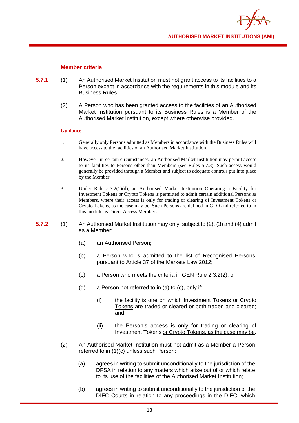

## **Member criteria**

- **5.7.1** (1) An Authorised Market Institution must not grant access to its facilities to a Person except in accordance with the requirements in this module and its Business Rules.
	- (2) A Person who has been granted access to the facilities of an Authorised Market Institution pursuant to its Business Rules is a Member of the Authorised Market Institution, except where otherwise provided.

- 1. Generally only Persons admitted as Members in accordance with the Business Rules will have access to the facilities of an Authorised Market Institution.
- 2. However, in certain circumstances, an Authorised Market Institution may permit access to its facilities to Persons other than Members (see Rules 5.7.3). Such access would generally be provided through a Member and subject to adequate controls put into place by the Member.
- 3. Under Rule 5.7.2(1)(d), an Authorised Market Institution Operating a Facility for Investment Tokens or Crypto Tokens is permitted to admit certain additional Persons as Members, where their access is only for trading or clearing of Investment Tokens or Crypto Tokens, as the case may be. Such Persons are defined in GLO and referred to in this module as Direct Access Members.
- **5.7.2** (1) An Authorised Market Institution may only, subject to (2), (3) and (4) admit as a Member:
	- (a) an Authorised Person;
	- (b) a Person who is admitted to the list of Recognised Persons pursuant to Article 37 of the Markets Law 2012;
	- (c) a Person who meets the criteria in GEN Rule 2.3.2(2); or
	- (d) a Person not referred to in (a) to (c), only if:
		- (i) the facility is one on which Investment Tokens or Crypto Tokens are traded or cleared or both traded and cleared; and
		- (ii) the Person's access is only for trading or clearing of Investment Tokens or Crypto Tokens, as the case may be.
	- (2) An Authorised Market Institution must not admit as a Member a Person referred to in (1)(c) unless such Person:
		- (a) agrees in writing to submit unconditionally to the jurisdiction of the DFSA in relation to any matters which arise out of or which relate to its use of the facilities of the Authorised Market Institution;
		- (b) agrees in writing to submit unconditionally to the jurisdiction of the DIFC Courts in relation to any proceedings in the DIFC, which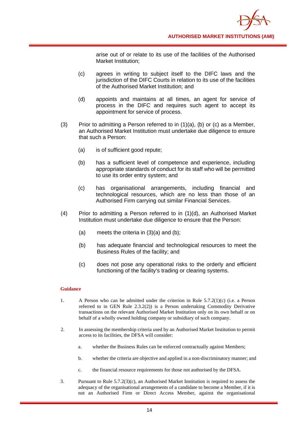arise out of or relate to its use of the facilities of the Authorised Market Institution;

- (c) agrees in writing to subject itself to the DIFC laws and the jurisdiction of the DIFC Courts in relation to its use of the facilities of the Authorised Market Institution; and
- (d) appoints and maintains at all times, an agent for service of process in the DIFC and requires such agent to accept its appointment for service of process.
- (3) Prior to admitting a Person referred to in  $(1)(a)$ ,  $(b)$  or  $(c)$  as a Member, an Authorised Market Institution must undertake due diligence to ensure that such a Person:
	- (a) is of sufficient good repute;
	- (b) has a sufficient level of competence and experience, including appropriate standards of conduct for its staff who will be permitted to use its order entry system; and
	- (c) has organisational arrangements, including financial and technological resources, which are no less than those of an Authorised Firm carrying out similar Financial Services.
- (4) Prior to admitting a Person referred to in (1)(d), an Authorised Market Institution must undertake due diligence to ensure that the Person:
	- (a) meets the criteria in  $(3)(a)$  and  $(b)$ ;
	- (b) has adequate financial and technological resources to meet the Business Rules of the facility; and
	- (c) does not pose any operational risks to the orderly and efficient functioning of the facility's trading or clearing systems.

- 1. A Person who can be admitted under the criterion in Rule 5.7.2(1)(c) (i.e. a Person referred to in GEN Rule 2.3.2(2)) is a Person undertaking Commodity Derivative transactions on the relevant Authorised Market Institution only on its own behalf or on behalf of a wholly owned holding company or subsidiary of such company.
- 2. In assessing the membership criteria used by an Authorised Market Institution to permit access to its facilities, the DFSA will consider:
	- a. whether the Business Rules can be enforced contractually against Members;
	- b. whether the criteria are objective and applied in a non-discriminatory manner; and
	- c. the financial resource requirements for those not authorised by the DFSA.
- 3. Pursuant to Rule 5.7.2(3)(c), an Authorised Market Institution is required to assess the adequacy of the organisational arrangements of a candidate to become a Member, if it is not an Authorised Firm or Direct Access Member, against the organisational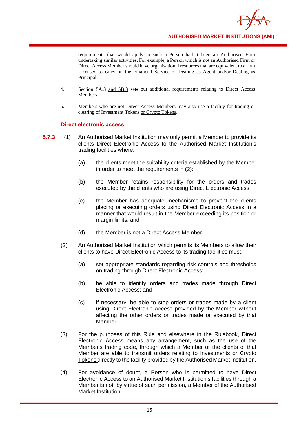requirements that would apply to such a Person had it been an Authorised Firm undertaking similar activities. For example, a Person which is not an Authorised Firm or Direct Access Member should have organisational resources that are equivalent to a firm Licensed to carry on the Financial Service of Dealing as Agent and/or Dealing as Principal.

- 4. Section 5A.3 and 5B.3 sets out additional requirements relating to Direct Access Members.
- 5. Members who are not Direct Access Members may also use a facility for trading or clearing of Investment Tokens or Crypto Tokens.

## **Direct electronic access**

- **5.7.3** (1) An Authorised Market Institution may only permit a Member to provide its clients Direct Electronic Access to the Authorised Market Institution's trading facilities where:
	- (a) the clients meet the suitability criteria established by the Member in order to meet the requirements in (2):
	- (b) the Member retains responsibility for the orders and trades executed by the clients who are using Direct Electronic Access;
	- (c) the Member has adequate mechanisms to prevent the clients placing or executing orders using Direct Electronic Access in a manner that would result in the Member exceeding its position or margin limits; and
	- (d) the Member is not a Direct Access Member.
	- (2) An Authorised Market Institution which permits its Members to allow their clients to have Direct Electronic Access to its trading facilities must:
		- (a) set appropriate standards regarding risk controls and thresholds on trading through Direct Electronic Access;
		- (b) be able to identify orders and trades made through Direct Electronic Access; and
		- (c) if necessary, be able to stop orders or trades made by a client using Direct Electronic Access provided by the Member without affecting the other orders or trades made or executed by that Member.
	- (3) For the purposes of this Rule and elsewhere in the Rulebook, Direct Electronic Access means any arrangement, such as the use of the Member's trading code, through which a Member or the clients of that Member are able to transmit orders relating to Investments or Crypto Tokens directly to the facility provided by the Authorised Market Institution.
	- (4) For avoidance of doubt, a Person who is permitted to have Direct Electronic Access to an Authorised Market Institution's facilities through a Member is not, by virtue of such permission, a Member of the Authorised Market Institution.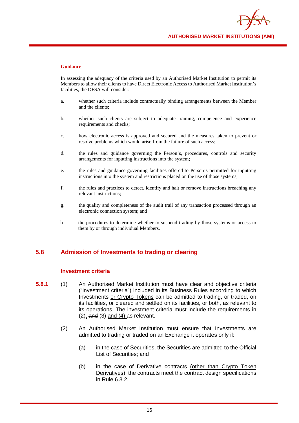

In assessing the adequacy of the criteria used by an Authorised Market Institution to permit its Members to allow their clients to have Direct Electronic Access to Authorised Market Institution's facilities, the DFSA will consider:

- a. whether such criteria include contractually binding arrangements between the Member and the clients;
- b. whether such clients are subject to adequate training, competence and experience requirements and checks;
- c. how electronic access is approved and secured and the measures taken to prevent or resolve problems which would arise from the failure of such access;
- d. the rules and guidance governing the Person's, procedures, controls and security arrangements for inputting instructions into the system;
- e. the rules and guidance governing facilities offered to Person's permitted for inputting instructions into the system and restrictions placed on the use of those systems;
- f. the rules and practices to detect, identify and halt or remove instructions breaching any relevant instructions;
- g. the quality and completeness of the audit trail of any transaction processed through an electronic connection system; and
- h the procedures to determine whether to suspend trading by those systems or access to them by or through individual Members.

## **5.8 Admission of Investments to trading or clearing**

## **Investment criteria**

- **5.8.1** (1) An Authorised Market Institution must have clear and objective criteria ("investment criteria") included in its Business Rules according to which Investments or Crypto Tokens can be admitted to trading, or traded, on its facilities, or cleared and settled on its facilities, or both, as relevant to its operations. The investment criteria must include the requirements in  $(2)$ , and  $(3)$  and  $(4)$  as relevant.
	- (2) An Authorised Market Institution must ensure that Investments are admitted to trading or traded on an Exchange it operates only if:
		- (a) in the case of Securities, the Securities are admitted to the Official List of Securities; and
		- (b) in the case of Derivative contracts (other than Crypto Token Derivatives), the contracts meet the contract design specifications in Rule 6.3.2.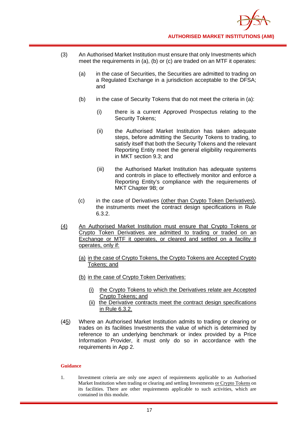- (3) An Authorised Market Institution must ensure that only Investments which meet the requirements in (a), (b) or (c) are traded on an MTF it operates:
	- (a) in the case of Securities, the Securities are admitted to trading on a Regulated Exchange in a jurisdiction acceptable to the DFSA; and
	- (b) in the case of Security Tokens that do not meet the criteria in (a):
		- (i) there is a current Approved Prospectus relating to the Security Tokens;
		- (ii) the Authorised Market Institution has taken adequate steps, before admitting the Security Tokens to trading, to satisfy itself that both the Security Tokens and the relevant Reporting Entity meet the general eligibility requirements in MKT section 9.3; and
		- (iii) the Authorised Market Institution has adequate systems and controls in place to effectively monitor and enforce a Reporting Entity's compliance with the requirements of MKT Chapter 9B; or
	- (c) in the case of Derivatives (other than Crypto Token Derivatives), the instruments meet the contract design specifications in Rule 6.3.2.
- (4) An Authorised Market Institution must ensure that Crypto Tokens or Crypto Token Derivatives are admitted to trading or traded on an Exchange or MTF it operates, or cleared and settled on a facility it operates, only if:
	- (a) in the case of Crypto Tokens, the Crypto Tokens are Accepted Crypto Tokens; and
	- (b) in the case of Crypto Token Derivatives:
		- (i) the Crypto Tokens to which the Derivatives relate are Accepted Crypto Tokens; and
		- (ii) the Derivative contracts meet the contract design specifications in Rule 6.3.2.
- (45) Where an Authorised Market Institution admits to trading or clearing or trades on its facilities Investments the value of which is determined by reference to an underlying benchmark or index provided by a Price Information Provider, it must only do so in accordance with the requirements in App 2.

1. Investment criteria are only one aspect of requirements applicable to an Authorised Market Institution when trading or clearing and settling Investments or Crypto Tokens on its facilities. There are other requirements applicable to such activities, which are contained in this module.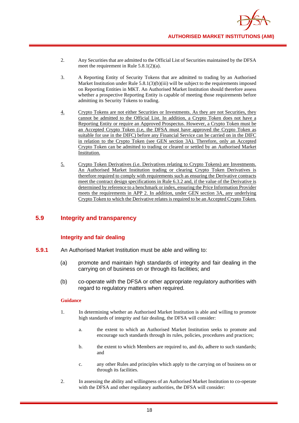

- 2. Any Securities that are admitted to the Official List of Securities maintained by the DFSA meet the requirement in Rule 5.8.1(2)(a).
- 3. A Reporting Entity of Security Tokens that are admitted to trading by an Authorised Market Institution under Rule  $5.8.1(3)(b)(iii)$  will be subject to the requirements imposed on Reporting Entities in MKT. An Authorised Market Institution should therefore assess whether a prospective Reporting Entity is capable of meeting those requirements before admitting its Security Tokens to trading.
- 4. Crypto Tokens are not either Securities or Investments. As they are not Securities, they cannot be admitted to the Official List. In addition, a Crypto Token does not have a Reporting Entity or require an Approved Prospectus. However, a Crypto Token must be an Accepted Crypto Token (i.e, the DFSA must have approved the Crypto Token as suitable for use in the DIFC) before any Financial Service can be carried on in the DIFC in relation to the Crypto Token (see GEN section 3A). Therefore, only an Accepted Crypto Token can be admitted to trading or cleared or settled by an Authorised Market Institution.
- 5. Crypto Token Derivatives (i.e. Derivatives relating to Crypto Tokens) are Investments. An Authorised Market Institution trading or clearing Crypto Token Derivatives is therefore required to comply with requirements such as ensuring the Derivative contracts meet the contract design specifications in Rule 6.3.2 and, if the value of the Derivative is determined by reference to a benchmark or index, ensuring the Price Information Provider meets the requirements in APP 2. In addition, under GEN section 3A, any underlying Crypto Token to which the Derivative relates is required to be an Accepted Crypto Token.

## **5.9 Integrity and transparency**

## **Integrity and fair dealing**

- **5.9.1** An Authorised Market Institution must be able and willing to:
	- (a) promote and maintain high standards of integrity and fair dealing in the carrying on of business on or through its facilities; and
	- (b) co-operate with the DFSA or other appropriate regulatory authorities with regard to regulatory matters when required.

- 1. In determining whether an Authorised Market Institution is able and willing to promote high standards of integrity and fair dealing, the DFSA will consider:
	- a. the extent to which an Authorised Market Institution seeks to promote and encourage such standards through its rules, policies, procedures and practices;
	- b. the extent to which Members are required to, and do, adhere to such standards; and
	- c. any other Rules and principles which apply to the carrying on of business on or through its facilities.
- 2. In assessing the ability and willingness of an Authorised Market Institution to co-operate with the DFSA and other regulatory authorities, the DFSA will consider: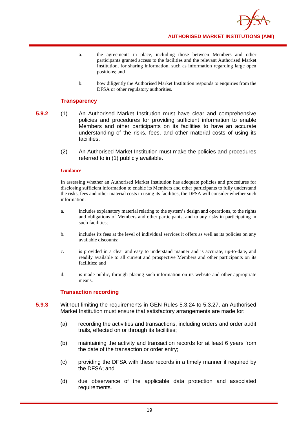

- a. the agreements in place, including those between Members and other participants granted access to the facilities and the relevant Authorised Market Institution, for sharing information, such as information regarding large open positions; and
- b. how diligently the Authorised Market Institution responds to enquiries from the DFSA or other regulatory authorities.

## **Transparency**

- **5.9.2** (1) An Authorised Market Institution must have clear and comprehensive policies and procedures for providing sufficient information to enable Members and other participants on its facilities to have an accurate understanding of the risks, fees, and other material costs of using its facilities.
	- (2) An Authorised Market Institution must make the policies and procedures referred to in (1) publicly available.

#### **Guidance**

In assessing whether an Authorised Market Institution has adequate policies and procedures for disclosing sufficient information to enable its Members and other participants to fully understand the risks, fees and other material costs in using its facilities, the DFSA will consider whether such information:

- a. includes explanatory material relating to the system's design and operations, to the rights and obligations of Members and other participants, and to any risks in participating in such facilities:
- b. includes its fees at the level of individual services it offers as well as its policies on any available discounts;
- c. is provided in a clear and easy to understand manner and is accurate, up-to-date, and readily available to all current and prospective Members and other participants on its facilities; and
- d. is made public, through placing such information on its website and other appropriate means.

## **Transaction recording**

- **5.9.3** Without limiting the requirements in GEN Rules 5.3.24 to 5.3.27, an Authorised Market Institution must ensure that satisfactory arrangements are made for:
	- (a) recording the activities and transactions, including orders and order audit trails, effected on or through its facilities;
	- (b) maintaining the activity and transaction records for at least 6 years from the date of the transaction or order entry;
	- (c) providing the DFSA with these records in a timely manner if required by the DFSA; and
	- (d) due observance of the applicable data protection and associated requirements.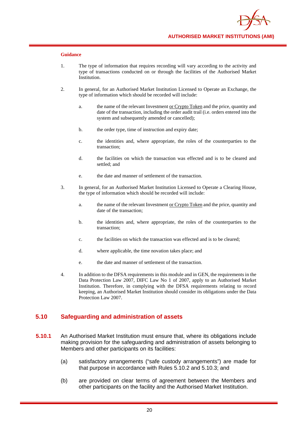

- 1. The type of information that requires recording will vary according to the activity and type of transactions conducted on or through the facilities of the Authorised Market Institution.
- 2. In general, for an Authorised Market Institution Licensed to Operate an Exchange, the type of information which should be recorded will include:
	- a. the name of the relevant Investment or Crypto Token and the price, quantity and date of the transaction, including the order audit trail (i.e. orders entered into the system and subsequently amended or cancelled);
	- b. the order type, time of instruction and expiry date;
	- c. the identities and, where appropriate, the roles of the counterparties to the transaction;
	- d. the facilities on which the transaction was effected and is to be cleared and settled; and
	- e. the date and manner of settlement of the transaction.
- 3. In general, for an Authorised Market Institution Licensed to Operate a Clearing House, the type of information which should be recorded will include:
	- a. the name of the relevant Investment or Crypto Token and the price, quantity and date of the transaction;
	- b. the identities and, where appropriate, the roles of the counterparties to the transaction;
	- c. the facilities on which the transaction was effected and is to be cleared;
	- d. where applicable, the time novation takes place; and
	- e. the date and manner of settlement of the transaction.
- 4. In addition to the DFSA requirements in this module and in GEN, the requirements in the Data Protection Law 2007, DIFC Law No 1 of 2007, apply to an Authorised Market Institution. Therefore, in complying with the DFSA requirements relating to record keeping, an Authorised Market Institution should consider its obligations under the Data Protection Law 2007.

## **5.10 Safeguarding and administration of assets**

- **5.10.1** An Authorised Market Institution must ensure that, where its obligations include making provision for the safeguarding and administration of assets belonging to Members and other participants on its facilities:
	- (a) satisfactory arrangements ("safe custody arrangements") are made for that purpose in accordance with Rules 5.10.2 and 5.10.3; and
	- (b) are provided on clear terms of agreement between the Members and other participants on the facility and the Authorised Market Institution.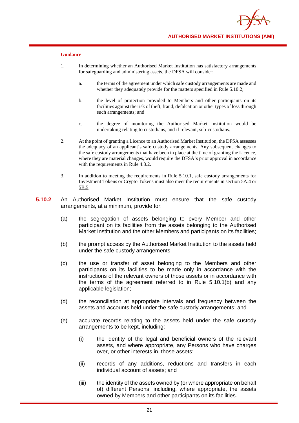

- 1. In determining whether an Authorised Market Institution has satisfactory arrangements for safeguarding and administering assets, the DFSA will consider:
	- a. the terms of the agreement under which safe custody arrangements are made and whether they adequately provide for the matters specified in Rule 5.10.2;
	- b. the level of protection provided to Members and other participants on its facilities against the risk of theft, fraud, defalcation or other types of loss through such arrangements; and
	- c. the degree of monitoring the Authorised Market Institution would be undertaking relating to custodians, and if relevant, sub-custodians.
- 2. At the point of granting a Licence to an Authorised Market Institution, the DFSA assesses the adequacy of an applicant's safe custody arrangements. Any subsequent changes to the safe custody arrangements that have been in place at the time of granting the Licence, where they are material changes, would require the DFSA's prior approval in accordance with the requirements in Rule 4.3.2.
- 3. In addition to meeting the requirements in Rule 5.10.1, safe custody arrangements for Investment Tokens or Crypto Tokens must also meet the requirements in section 5A.4 or 5B.5.
- **5.10.2** An Authorised Market Institution must ensure that the safe custody arrangements, at a minimum, provide for:
	- (a) the segregation of assets belonging to every Member and other participant on its facilities from the assets belonging to the Authorised Market Institution and the other Members and participants on its facilities;
	- (b) the prompt access by the Authorised Market Institution to the assets held under the safe custody arrangements;
	- (c) the use or transfer of asset belonging to the Members and other participants on its facilities to be made only in accordance with the instructions of the relevant owners of those assets or in accordance with the terms of the agreement referred to in Rule 5.10.1(b) and any applicable legislation;
	- (d) the reconciliation at appropriate intervals and frequency between the assets and accounts held under the safe custody arrangements; and
	- (e) accurate records relating to the assets held under the safe custody arrangements to be kept, including:
		- (i) the identity of the legal and beneficial owners of the relevant assets, and where appropriate, any Persons who have charges over, or other interests in, those assets;
		- (ii) records of any additions, reductions and transfers in each individual account of assets; and
		- (iii) the identity of the assets owned by (or where appropriate on behalf of) different Persons, including, where appropriate, the assets owned by Members and other participants on its facilities.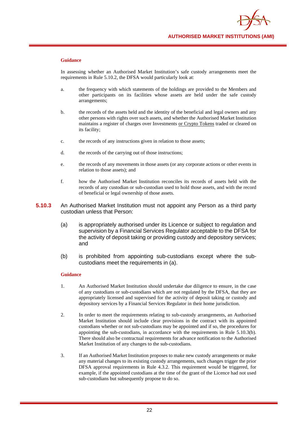

In assessing whether an Authorised Market Institution's safe custody arrangements meet the requirements in Rule 5.10.2, the DFSA would particularly look at:

- a. the frequency with which statements of the holdings are provided to the Members and other participants on its facilities whose assets are held under the safe custody arrangements;
- b. the records of the assets held and the identity of the beneficial and legal owners and any other persons with rights over such assets, and whether the Authorised Market Institution maintains a register of charges over Investments or Crypto Tokens traded or cleared on its facility;
- c. the records of any instructions given in relation to those assets;
- d. the records of the carrying out of those instructions;
- e. the records of any movements in those assets (or any corporate actions or other events in relation to those assets); and
- f. how the Authorised Market Institution reconciles its records of assets held with the records of any custodian or sub-custodian used to hold those assets, and with the record of beneficial or legal ownership of those assets.
- **5.10.3** An Authorised Market Institution must not appoint any Person as a third party custodian unless that Person:
	- (a) is appropriately authorised under its Licence or subject to regulation and supervision by a Financial Services Regulator acceptable to the DFSA for the activity of deposit taking or providing custody and depository services; and
	- (b) is prohibited from appointing sub-custodians except where the subcustodians meet the requirements in (a).

- 1. An Authorised Market Institution should undertake due diligence to ensure, in the case of any custodians or sub-custodians which are not regulated by the DFSA, that they are appropriately licensed and supervised for the activity of deposit taking or custody and depository services by a Financial Services Regulator in their home jurisdiction.
- 2. In order to meet the requirements relating to sub-custody arrangements, an Authorised Market Institution should include clear provisions in the contract with its appointed custodians whether or not sub-custodians may be appointed and if so, the procedures for appointing the sub-custodians, in accordance with the requirements in Rule 5.10.3(b). There should also be contractual requirements for advance notification to the Authorised Market Institution of any changes to the sub-custodians.
- 3. If an Authorised Market Institution proposes to make new custody arrangements or make any material changes to its existing custody arrangements, such changes trigger the prior DFSA approval requirements in Rule 4.3.2. This requirement would be triggered, for example, if the appointed custodians at the time of the grant of the Licence had not used sub-custodians but subsequently propose to do so.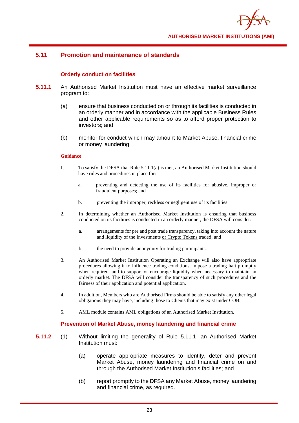

## **5.11 Promotion and maintenance of standards**

## **Orderly conduct on facilities**

- **5.11.1** An Authorised Market Institution must have an effective market surveillance program to:
	- (a) ensure that business conducted on or through its facilities is conducted in an orderly manner and in accordance with the applicable Business Rules and other applicable requirements so as to afford proper protection to investors; and
	- (b) monitor for conduct which may amount to Market Abuse, financial crime or money laundering.

#### **Guidance**

- 1. To satisfy the DFSA that Rule 5.11.1(a) is met, an Authorised Market Institution should have rules and procedures in place for:
	- a. preventing and detecting the use of its facilities for abusive, improper or fraudulent purposes; and
	- b. preventing the improper, reckless or negligent use of its facilities.
- 2. In determining whether an Authorised Market Institution is ensuring that business conducted on its facilities is conducted in an orderly manner, the DFSA will consider:
	- a. arrangements for pre and post trade transparency, taking into account the nature and liquidity of the Investments or Crypto Tokens traded; and
	- b. the need to provide anonymity for trading participants.
- 3. An Authorised Market Institution Operating an Exchange will also have appropriate procedures allowing it to influence trading conditions, impose a trading halt promptly when required, and to support or encourage liquidity when necessary to maintain an orderly market. The DFSA will consider the transparency of such procedures and the fairness of their application and potential application.
- 4. In addition, Members who are Authorised Firms should be able to satisfy any other legal obligations they may have, including those to Clients that may exist under COB.
- 5. AML module contains AML obligations of an Authorised Market Institution.

## **Prevention of Market Abuse, money laundering and financial crime**

- **5.11.2** (1) Without limiting the generality of Rule 5.11.1, an Authorised Market Institution must:
	- (a) operate appropriate measures to identify, deter and prevent Market Abuse, money laundering and financial crime on and through the Authorised Market Institution's facilities; and
	- (b) report promptly to the DFSA any Market Abuse, money laundering and financial crime, as required.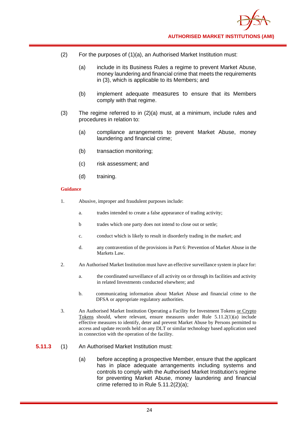

- (2) For the purposes of (1)(a), an Authorised Market Institution must:
	- (a) include in its Business Rules a regime to prevent Market Abuse, money laundering and financial crime that meets the requirements in (3), which is applicable to its Members; and
	- (b) implement adequate measures to ensure that its Members comply with that regime.
- (3) The regime referred to in (2)(a) must, at a minimum, include rules and procedures in relation to:
	- (a) compliance arrangements to prevent Market Abuse, money laundering and financial crime;
	- (b) transaction monitoring;
	- (c) risk assessment; and
	- (d) training.

- 1. Abusive, improper and fraudulent purposes include:
	- a. trades intended to create a false appearance of trading activity;
	- b trades which one party does not intend to close out or settle;
	- c. conduct which is likely to result in disorderly trading in the market; and
	- d. any contravention of the provisions in Part 6: Prevention of Market Abuse in the Markets Law.
- 2. An Authorised Market Institution must have an effective surveillance system in place for:
	- a. the coordinated surveillance of all activity on or through its facilities and activity in related Investments conducted elsewhere; and
	- b. communicating information about Market Abuse and financial crime to the DFSA or appropriate regulatory authorities.
- 3. An Authorised Market Institution Operating a Facility for Investment Tokens or Crypto Tokens should, where relevant, ensure measures under Rule 5.11.2(1)(a) include effective measures to identify, deter and prevent Market Abuse by Persons permitted to access and update records held on any DLT or similar technology based application used in connection with the operation of the facility.
- **5.11.3** (1) An Authorised Market Institution must:
	- (a) before accepting a prospective Member, ensure that the applicant has in place adequate arrangements including systems and controls to comply with the Authorised Market Institution's regime for preventing Market Abuse, money laundering and financial crime referred to in Rule 5.11.2(2)(a);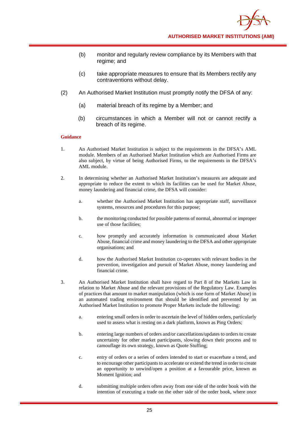- (b) monitor and regularly review compliance by its Members with that regime; and
- (c) take appropriate measures to ensure that its Members rectify any contraventions without delay.
- (2) An Authorised Market Institution must promptly notify the DFSA of any:
	- (a) material breach of its regime by a Member; and
	- (b) circumstances in which a Member will not or cannot rectify a breach of its regime.

- 1. An Authorised Market Institution is subject to the requirements in the DFSA's AML module. Members of an Authorised Market Institution which are Authorised Firms are also subject, by virtue of being Authorised Firms, to the requirements in the DFSA's AML module.
- 2. In determining whether an Authorised Market Institution's measures are adequate and appropriate to reduce the extent to which its facilities can be used for Market Abuse, money laundering and financial crime, the DFSA will consider:
	- a. whether the Authorised Market Institution has appropriate staff, surveillance systems, resources and procedures for this purpose;
	- b. the monitoring conducted for possible patterns of normal, abnormal or improper use of those facilities;
	- c. how promptly and accurately information is communicated about Market Abuse, financial crime and money laundering to the DFSA and other appropriate organisations; and
	- d. how the Authorised Market Institution co-operates with relevant bodies in the prevention, investigation and pursuit of Market Abuse, money laundering and financial crime.
- 3. An Authorised Market Institution shall have regard to Part 8 of the Markets Law in relation to Market Abuse and the relevant provisions of the Regulatory Law. Examples of practices that amount to market manipulation (which is one form of Market Abuse) in an automated trading environment that should be identified and prevented by an Authorised Market Institution to promote Proper Markets include the following:
	- a. entering small orders in order to ascertain the level of hidden orders, particularly used to assess what is resting on a dark platform, known as Ping Orders;
	- b. entering large numbers of orders and/or cancellations/updates to orders to create uncertainty for other market participants, slowing down their process and to camouflage its own strategy, known as Quote Stuffing;
	- c. entry of orders or a series of orders intended to start or exacerbate a trend, and to encourage other participants to accelerate or extend the trend in order to create an opportunity to unwind/open a position at a favourable price, known as Moment Ignition; and
	- d. submitting multiple orders often away from one side of the order book with the intention of executing a trade on the other side of the order book, where once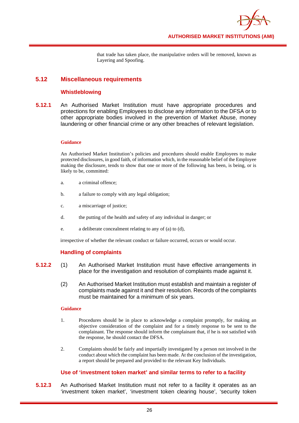

that trade has taken place, the manipulative orders will be removed, known as Layering and Spoofing.

## **5.12 Miscellaneous requirements**

## **Whistleblowing**

**5.12.1** An Authorised Market Institution must have appropriate procedures and protections for enabling Employees to disclose any information to the DFSA or to other appropriate bodies involved in the prevention of Market Abuse, money laundering or other financial crime or any other breaches of relevant legislation.

#### **Guidance**

An Authorised Market Institution's policies and procedures should enable Employees to make protected disclosures, in good faith, of information which, in the reasonable belief of the Employee making the disclosure, tends to show that one or more of the following has been, is being, or is likely to be, committed:

- a. a criminal offence;
- b. a failure to comply with any legal obligation;
- c. a miscarriage of justice;
- d. the putting of the health and safety of any individual in danger; or
- e. a deliberate concealment relating to any of (a) to (d),

irrespective of whether the relevant conduct or failure occurred, occurs or would occur.

## **Handling of complaints**

- **5.12.2** (1) An Authorised Market Institution must have effective arrangements in place for the investigation and resolution of complaints made against it.
	- (2) An Authorised Market Institution must establish and maintain a register of complaints made against it and their resolution. Records of the complaints must be maintained for a minimum of six years.

## **Guidance**

- 1. Procedures should be in place to acknowledge a complaint promptly, for making an objective consideration of the complaint and for a timely response to be sent to the complainant. The response should inform the complainant that, if he is not satisfied with the response, he should contact the DFSA.
- 2. Complaints should be fairly and impartially investigated by a person not involved in the conduct about which the complaint has been made. At the conclusion of the investigation, a report should be prepared and provided to the relevant Key Individuals.

## **Use of 'investment token market' and similar terms to refer to a facility**

**5.12.3** An Authorised Market Institution must not refer to a facility it operates as an 'investment token market', 'investment token clearing house', 'security token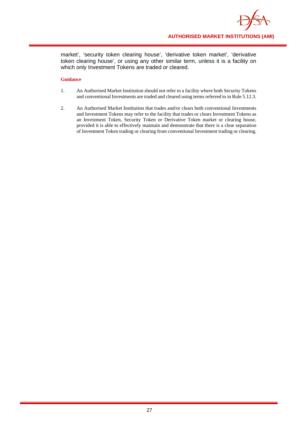

market', 'security token clearing house', 'derivative token market', 'derivative token clearing house', or using any other similar term, unless it is a facility on which only Investment Tokens are traded or cleared.

- 1. An Authorised Market Institution should not refer to a facility where both Security Tokens and conventional Investments are traded and cleared using terms referred to in Rule 5.12.3.
- 2. An Authorised Market Institution that trades and/or clears both conventional Investments and Investment Tokens may refer to the facility that trades or clears Investment Tokens as an Investment Token, Security Token or Derivative Token market or clearing house, provided it is able to effectively maintain and demonstrate that there is a clear separation of Investment Token trading or clearing from conventional Investment trading or clearing.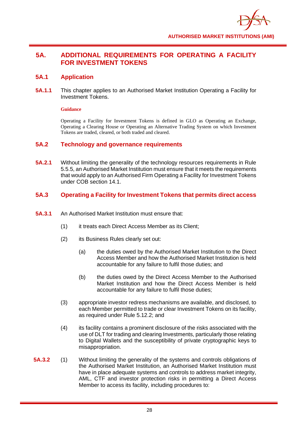

# **5A. ADDITIONAL REQUIREMENTS FOR OPERATING A FACILITY FOR INVESTMENT TOKENS**

## **5A.1 Application**

**5A.1.1** This chapter applies to an Authorised Market Institution Operating a Facility for Investment Tokens.

#### **Guidance**

Operating a Facility for Investment Tokens is defined in GLO as Operating an Exchange, Operating a Clearing House or Operating an Alternative Trading System on which Investment Tokens are traded, cleared, or both traded and cleared.

## **5A.2 Technology and governance requirements**

**5A.2.1** Without limiting the generality of the technology resources requirements in Rule 5.5.5, an Authorised Market Institution must ensure that it meets the requirements that would apply to an Authorised Firm Operating a Facility for Investment Tokens under COB section 14.1.

## **5A.3 Operating a Facility for Investment Tokens that permits direct access**

- **5A.3.1** An Authorised Market Institution must ensure that:
	- (1) it treats each Direct Access Member as its Client;
	- (2) its Business Rules clearly set out:
		- (a) the duties owed by the Authorised Market Institution to the Direct Access Member and how the Authorised Market Institution is held accountable for any failure to fulfil those duties; and
		- (b) the duties owed by the Direct Access Member to the Authorised Market Institution and how the Direct Access Member is held accountable for any failure to fulfil those duties;
	- (3) appropriate investor redress mechanisms are available, and disclosed, to each Member permitted to trade or clear Investment Tokens on its facility, as required under Rule 5.12.2; and
	- (4) its facility contains a prominent disclosure of the risks associated with the use of DLT for trading and clearing Investments, particularly those relating to Digital Wallets and the susceptibility of private cryptographic keys to misappropriation.
- **5A.3.2** (1) Without limiting the generality of the systems and controls obligations of the Authorised Market Institution, an Authorised Market Institution must have in place adequate systems and controls to address market integrity, AML, CTF and investor protection risks in permitting a Direct Access Member to access its facility, including procedures to: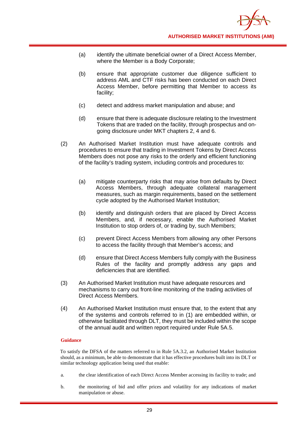- (a) identify the ultimate beneficial owner of a Direct Access Member, where the Member is a Body Corporate;
- (b) ensure that appropriate customer due diligence sufficient to address AML and CTF risks has been conducted on each Direct Access Member, before permitting that Member to access its facility;
- (c) detect and address market manipulation and abuse; and
- (d) ensure that there is adequate disclosure relating to the Investment Tokens that are traded on the facility, through prospectus and ongoing disclosure under MKT chapters 2, 4 and 6.
- (2) An Authorised Market Institution must have adequate controls and procedures to ensure that trading in Investment Tokens by Direct Access Members does not pose any risks to the orderly and efficient functioning of the facility's trading system, including controls and procedures to:
	- (a) mitigate counterparty risks that may arise from defaults by Direct Access Members, through adequate collateral management measures, such as margin requirements, based on the settlement cycle adopted by the Authorised Market Institution;
	- (b) identify and distinguish orders that are placed by Direct Access Members, and, if necessary, enable the Authorised Market Institution to stop orders of, or trading by, such Members;
	- (c) prevent Direct Access Members from allowing any other Persons to access the facility through that Member's access; and
	- (d) ensure that Direct Access Members fully comply with the Business Rules of the facility and promptly address any gaps and deficiencies that are identified.
- (3) An Authorised Market Institution must have adequate resources and mechanisms to carry out front-line monitoring of the trading activities of Direct Access Members.
- (4) An Authorised Market Institution must ensure that, to the extent that any of the systems and controls referred to in (1) are embedded within, or otherwise facilitated through DLT, they must be included within the scope of the annual audit and written report required under Rule 5A.5.

To satisfy the DFSA of the matters referred to in Rule 5A.3.2, an Authorised Market Institution should, as a minimum, be able to demonstrate that it has effective procedures built into its DLT or similar technology application being used that enable:

- a. the clear identification of each Direct Access Member accessing its facility to trade; and
- b. the monitoring of bid and offer prices and volatility for any indications of market manipulation or abuse.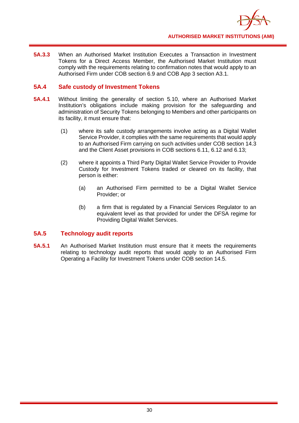

**5A.3.3** When an Authorised Market Institution Executes a Transaction in Investment Tokens for a Direct Access Member, the Authorised Market Institution must comply with the requirements relating to confirmation notes that would apply to an Authorised Firm under COB section 6.9 and COB App 3 section A3.1.

## **5A.4 Safe custody of Investment Tokens**

- **5A.4.1** Without limiting the generality of section 5.10, where an Authorised Market Institution's obligations include making provision for the safeguarding and administration of Security Tokens belonging to Members and other participants on its facility, it must ensure that:
	- (1) where its safe custody arrangements involve acting as a Digital Wallet Service Provider, it complies with the same requirements that would apply to an Authorised Firm carrying on such activities under COB section 14.3 and the Client Asset provisions in COB sections 6.11, 6.12 and 6.13;
	- (2) where it appoints a Third Party Digital Wallet Service Provider to Provide Custody for Investment Tokens traded or cleared on its facility, that person is either:
		- (a) an Authorised Firm permitted to be a Digital Wallet Service Provider; or
		- (b) a firm that is regulated by a Financial Services Regulator to an equivalent level as that provided for under the DFSA regime for Providing Digital Wallet Services.

## **5A.5 Technology audit reports**

**5A.5.1** An Authorised Market Institution must ensure that it meets the requirements relating to technology audit reports that would apply to an Authorised Firm Operating a Facility for Investment Tokens under COB section 14.5.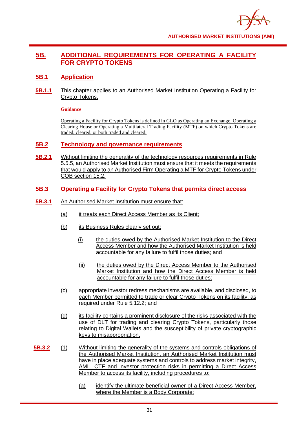

# **5B. ADDITIONAL REQUIREMENTS FOR OPERATING A FACILITY FOR CRYPTO TOKENS**

## **5B.1 Application**

**5B.1.1** This chapter applies to an Authorised Market Institution Operating a Facility for Crypto Tokens.

## **Guidance**

Operating a Facility for Crypto Tokens is defined in GLO as Operating an Exchange, Operating a Clearing House or Operating a Multilateral Trading Facility (MTF) on which Crypto Tokens are traded, cleared, or both traded and cleared.

## **5B.2 Technology and governance requirements**

- **5B.2.1** Without limiting the generality of the technology resources requirements in Rule 5.5.5, an Authorised Market Institution must ensure that it meets the requirements that would apply to an Authorised Firm Operating a MTF for Crypto Tokens under COB section 15.2.
- **5B.3 Operating a Facility for Crypto Tokens that permits direct access**
- **5B.3.1** An Authorised Market Institution must ensure that:
	- (a) it treats each Direct Access Member as its Client;
	- (b) its Business Rules clearly set out:
		- (i) the duties owed by the Authorised Market Institution to the Direct Access Member and how the Authorised Market Institution is held accountable for any failure to fulfil those duties; and
		- (ii) the duties owed by the Direct Access Member to the Authorised Market Institution and how the Direct Access Member is held accountable for any failure to fulfil those duties;
	- (c) appropriate investor redress mechanisms are available, and disclosed, to each Member permitted to trade or clear Crypto Tokens on its facility, as required under Rule 5.12.2; and
	- (d) its facility contains a prominent disclosure of the risks associated with the use of DLT for trading and clearing Crypto Tokens, particularly those relating to Digital Wallets and the susceptibility of private cryptographic keys to misappropriation.
- **5B.3.2** (1) Without limiting the generality of the systems and controls obligations of the Authorised Market Institution, an Authorised Market Institution must have in place adequate systems and controls to address market integrity, AML, CTF and investor protection risks in permitting a Direct Access Member to access its facility, including procedures to:
	- (a) identify the ultimate beneficial owner of a Direct Access Member, where the Member is a Body Corporate;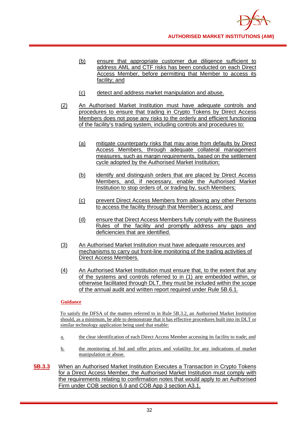- (b) ensure that appropriate customer due diligence sufficient to address AML and CTF risks has been conducted on each Direct Access Member, before permitting that Member to access its facility; and
- (c) detect and address market manipulation and abuse.
- (2) An Authorised Market Institution must have adequate controls and procedures to ensure that trading in Crypto Tokens by Direct Access Members does not pose any risks to the orderly and efficient functioning of the facility's trading system, including controls and procedures to:
	- (a) mitigate counterparty risks that may arise from defaults by Direct Access Members, through adequate collateral management measures, such as margin requirements, based on the settlement cycle adopted by the Authorised Market Institution;
	- (b) identify and distinguish orders that are placed by Direct Access Members, and, if necessary, enable the Authorised Market Institution to stop orders of, or trading by, such Members;
	- (c) prevent Direct Access Members from allowing any other Persons to access the facility through that Member's access; and
	- (d) ensure that Direct Access Members fully comply with the Business Rules of the facility and promptly address any gaps and deficiencies that are identified.
- (3) An Authorised Market Institution must have adequate resources and mechanisms to carry out front-line monitoring of the trading activities of Direct Access Members.
- (4) An Authorised Market Institution must ensure that, to the extent that any of the systems and controls referred to in (1) are embedded within, or otherwise facilitated through DLT, they must be included within the scope of the annual audit and written report required under Rule 5B.6.1.

To satisfy the DFSA of the matters referred to in Rule 5B.3.2, an Authorised Market Institution should, as a minimum, be able to demonstrate that it has effective procedures built into its DLT or similar technology application being used that enable:

- a. the clear identification of each Direct Access Member accessing its facility to trade; and
- b. the monitoring of bid and offer prices and volatility for any indications of market manipulation or abuse.
- **5B.3.3** When an Authorised Market Institution Executes a Transaction in Crypto Tokens for a Direct Access Member, the Authorised Market Institution must comply with the requirements relating to confirmation notes that would apply to an Authorised Firm under COB section 6.9 and COB App 3 section A3.1.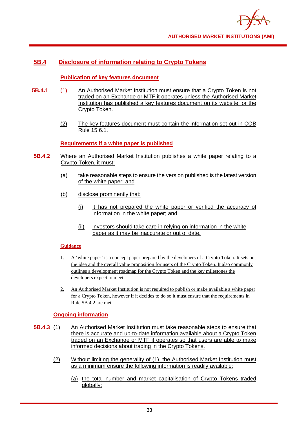

# **5B.4 Disclosure of information relating to Crypto Tokens**

## **Publication of key features document**

- **5B.4.1** (1) An Authorised Market Institution must ensure that a Crypto Token is not traded on an Exchange or MTF it operates unless the Authorised Market Institution has published a key features document on its website for the Crypto Token.
	- (2) The key features document must contain the information set out in COB Rule 15.6.1.

## **Requirements if a white paper is published**

- **5B.4.2** Where an Authorised Market Institution publishes a white paper relating to a Crypto Token, it must:
	- (a) take reasonable steps to ensure the version published is the latest version of the white paper; and
	- (b) disclose prominently that:
		- (i) it has not prepared the white paper or verified the accuracy of information in the white paper; and
		- (ii) investors should take care in relying on information in the white paper as it may be inaccurate or out of date.

## **Guidance**

- 1. A 'white paper' is a concept paper prepared by the developers of a Crypto Token. It sets out the idea and the overall value proposition for users of the Crypto Token. It also commonly outlines a development roadmap for the Crypto Token and the key milestones the developers expect to meet.
- 2. An Authorised Market Institution is not required to publish or make available a white paper for a Crypto Token, however if it decides to do so it must ensure that the requirements in Rule 5B.4.2 are met.

## **Ongoing information**

- **5B.4.3** (1) An Authorised Market Institution must take reasonable steps to ensure that there is accurate and up-to-date information available about a Crypto Token traded on an Exchange or MTF it operates so that users are able to make informed decisions about trading in the Crypto Tokens.
	- (2) Without limiting the generality of (1), the Authorised Market Institution must as a minimum ensure the following information is readily available:
		- (a) the total number and market capitalisation of Crypto Tokens traded globally;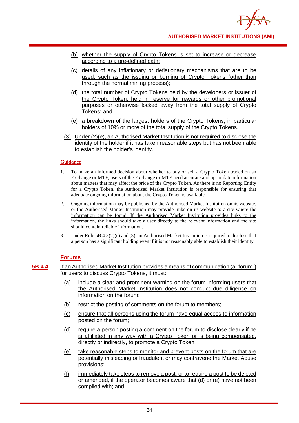- (b) whether the supply of Crypto Tokens is set to increase or decrease according to a pre-defined path;
- (c) details of any inflationary or deflationary mechanisms that are to be used, such as the issuing or burning of Crypto Tokens (other than through the normal mining process);
- (d) the total number of Crypto Tokens held by the developers or issuer of the Crypto Token, held in reserve for rewards or other promotional purposes or otherwise locked away from the total supply of Crypto Tokens; and
- (e) a breakdown of the largest holders of the Crypto Tokens, in particular holders of 10% or more of the total supply of the Crypto Tokens.
- (3) Under (2)(e), an Authorised Market Institution is not required to disclose the identity of the holder if it has taken reasonable steps but has not been able to establish the holder's identity.

- 1. To make an informed decision about whether to buy or sell a Crypto Token traded on an Exchange or MTF, users of the Exchange or MTF need accurate and up-to-date information about matters that may affect the price of the Crypto Token. As there is no Reporting Entity for a Crypto Token, the Authorised Market Institution is responsible for ensuring that adequate ongoing information about the Crypto Token is available.
- 2. Ongoing information may be published by the Authorised Market Institution on its website, or the Authorised Market Institution may provide links on its website to a site where the information can be found. If the Authorised Market Institution provides links to the information, the links should take a user directly to the relevant information and the site should contain reliable information.
- 3. Under Rule 5B.4.3(2)(e) and (3), an Authorised Market Institution is required to disclose that a person has a significant holding even if it is not reasonably able to establish their identity.

## **Forums**

- **5B.4.4** If an Authorised Market Institution provides a means of communication (a "forum") for users to discuss Crypto Tokens, it must:
	- (a) include a clear and prominent warning on the forum informing users that the Authorised Market Institution does not conduct due diligence on information on the forum;
	- (b) restrict the posting of comments on the forum to members;
	- (c) ensure that all persons using the forum have equal access to information posted on the forum;
	- (d) require a person posting a comment on the forum to disclose clearly if he is affiliated in any way with a Crypto Token or is being compensated, directly or indirectly, to promote a Crypto Token;
	- (e) take reasonable steps to monitor and prevent posts on the forum that are potentially misleading or fraudulent or may contravene the Market Abuse provisions;
	- (f) immediately take steps to remove a post, or to require a post to be deleted or amended, if the operator becomes aware that (d) or (e) have not been complied with; and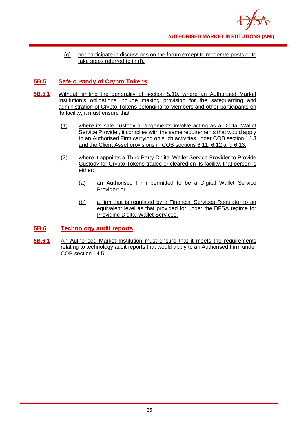

(g) not participate in discussions on the forum except to moderate posts or to take steps referred to in (f).

# **5B.5 Safe custody of Crypto Tokens**

- **5B.5.1** Without limiting the generality of section 5.10, where an Authorised Market Institution's obligations include making provision for the safeguarding and administration of Crypto Tokens belonging to Members and other participants on its facility, it must ensure that:
	- (1) where its safe custody arrangements involve acting as a Digital Wallet Service Provider, it complies with the same requirements that would apply to an Authorised Firm carrying on such activities under COB section 14.3 and the Client Asset provisions in COB sections 6.11, 6.12 and 6.13;
	- (2) where it appoints a Third Party Digital Wallet Service Provider to Provide Custody for Crypto Tokens traded or cleared on its facility, that person is either:
		- (a) an Authorised Firm permitted to be a Digital Wallet Service Provider; or
		- (b) a firm that is regulated by a Financial Services Regulator to an equivalent level as that provided for under the DFSA regime for Providing Digital Wallet Services.

## **5B.6 Technology audit reports**

**5B.6.1** An Authorised Market Institution must ensure that it meets the requirements relating to technology audit reports that would apply to an Authorised Firm under COB section 14.5.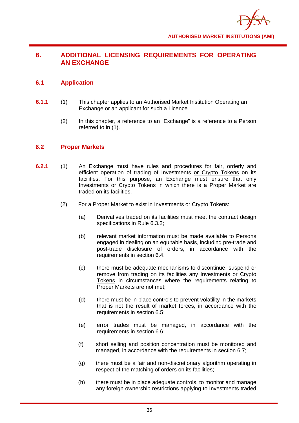

# **6. ADDITIONAL LICENSING REQUIREMENTS FOR OPERATING AN EXCHANGE**

## **6.1 Application**

- **6.1.1** (1) This chapter applies to an Authorised Market Institution Operating an Exchange or an applicant for such a Licence.
	- (2) In this chapter, a reference to an "Exchange" is a reference to a Person referred to in (1).

## **6.2 Proper Markets**

- **6.2.1** (1) An Exchange must have rules and procedures for fair, orderly and efficient operation of trading of Investments or Crypto Tokens on its facilities. For this purpose, an Exchange must ensure that only Investments or Crypto Tokens in which there is a Proper Market are traded on its facilities.
	- (2) For a Proper Market to exist in Investments or Crypto Tokens:
		- (a) Derivatives traded on its facilities must meet the contract design specifications in Rule 6.3.2;
		- (b) relevant market information must be made available to Persons engaged in dealing on an equitable basis, including pre-trade and post-trade disclosure of orders, in accordance with the requirements in section 6.4.
		- (c) there must be adequate mechanisms to discontinue, suspend or remove from trading on its facilities any Investments or Crypto Tokens in circumstances where the requirements relating to Proper Markets are not met;
		- (d) there must be in place controls to prevent volatility in the markets that is not the result of market forces, in accordance with the requirements in section 6.5;
		- (e) error trades must be managed, in accordance with the requirements in section 6.6;
		- (f) short selling and position concentration must be monitored and managed, in accordance with the requirements in section 6.7;
		- (g) there must be a fair and non-discretionary algorithm operating in respect of the matching of orders on its facilities;
		- (h) there must be in place adequate controls, to monitor and manage any foreign ownership restrictions applying to Investments traded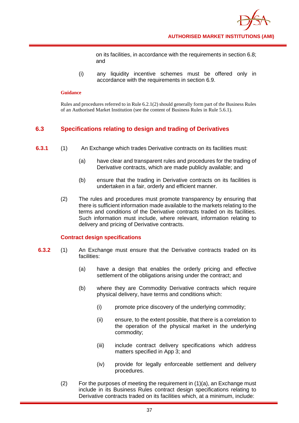on its facilities, in accordance with the requirements in section 6.8; and

(i) any liquidity incentive schemes must be offered only in accordance with the requirements in section 6.9.

#### **Guidance**

Rules and procedures referred to in Rule 6.2.1(2) should generally form part of the Business Rules of an Authorised Market Institution (see the content of Business Rules in Rule 5.6.1).

## **6.3 Specifications relating to design and trading of Derivatives**

- **6.3.1** (1) An Exchange which trades Derivative contracts on its facilities must:
	- (a) have clear and transparent rules and procedures for the trading of Derivative contracts, which are made publicly available; and
	- (b) ensure that the trading in Derivative contracts on its facilities is undertaken in a fair, orderly and efficient manner.
	- (2) The rules and procedures must promote transparency by ensuring that there is sufficient information made available to the markets relating to the terms and conditions of the Derivative contracts traded on its facilities. Such information must include, where relevant, information relating to delivery and pricing of Derivative contracts.

## **Contract design specifications**

- **6.3.2** (1) An Exchange must ensure that the Derivative contracts traded on its facilities:
	- (a) have a design that enables the orderly pricing and effective settlement of the obligations arising under the contract; and
	- (b) where they are Commodity Derivative contracts which require physical delivery, have terms and conditions which:
		- (i) promote price discovery of the underlying commodity;
		- (ii) ensure, to the extent possible, that there is a correlation to the operation of the physical market in the underlying commodity;
		- (iii) include contract delivery specifications which address matters specified in App 3; and
		- (iv) provide for legally enforceable settlement and delivery procedures.
	- (2) For the purposes of meeting the requirement in  $(1)(a)$ , an Exchange must include in its Business Rules contract design specifications relating to Derivative contracts traded on its facilities which, at a minimum, include: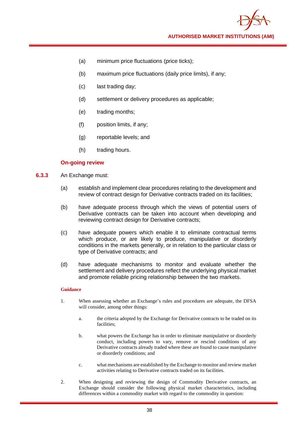- (a) minimum price fluctuations (price ticks);
- (b) maximum price fluctuations (daily price limits), if any;
- (c) last trading day;
- (d) settlement or delivery procedures as applicable;
- (e) trading months;
- (f) position limits, if any;
- (g) reportable levels; and
- (h) trading hours.

## **On-going review**

- **6.3.3** An Exchange must:
	- (a) establish and implement clear procedures relating to the development and review of contract design for Derivative contracts traded on its facilities;
	- (b) have adequate process through which the views of potential users of Derivative contracts can be taken into account when developing and reviewing contract design for Derivative contracts;
	- (c) have adequate powers which enable it to eliminate contractual terms which produce, or are likely to produce, manipulative or disorderly conditions in the markets generally, or in relation to the particular class or type of Derivative contracts; and
	- (d) have adequate mechanisms to monitor and evaluate whether the settlement and delivery procedures reflect the underlying physical market and promote reliable pricing relationship between the two markets.

- 1. When assessing whether an Exchange's rules and procedures are adequate, the DFSA will consider, among other things:
	- a. the criteria adopted by the Exchange for Derivative contracts to be traded on its facilities;
	- b. what powers the Exchange has in order to eliminate manipulative or disorderly conduct, including powers to vary, remove or rescind conditions of any Derivative contracts already traded where these are found to cause manipulative or disorderly conditions; and
	- c. what mechanisms are established by the Exchange to monitor and review market activities relating to Derivative contracts traded on its facilities.
- 2. When designing and reviewing the design of Commodity Derivative contracts, an Exchange should consider the following physical market characteristics, including differences within a commodity market with regard to the commodity in question: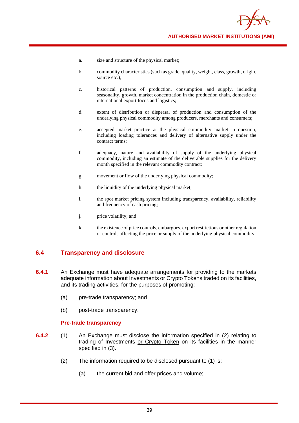- a. size and structure of the physical market;
- b. commodity characteristics (such as grade, quality, weight, class, growth, origin, source etc.);
- c. historical patterns of production, consumption and supply, including seasonality, growth, market concentration in the production chain, domestic or international export focus and logistics;
- d. extent of distribution or dispersal of production and consumption of the underlying physical commodity among producers, merchants and consumers;
- e. accepted market practice at the physical commodity market in question, including loading tolerances and delivery of alternative supply under the contract terms;
- f. adequacy, nature and availability of supply of the underlying physical commodity, including an estimate of the deliverable supplies for the delivery month specified in the relevant commodity contract;
- g. movement or flow of the underlying physical commodity;
- h. the liquidity of the underlying physical market;
- i. the spot market pricing system including transparency, availability, reliability and frequency of cash pricing;
- j. price volatility; and
- k. the existence of price controls, embargoes, export restrictions or other regulation or controls affecting the price or supply of the underlying physical commodity.

## **6.4 Transparency and disclosure**

- **6.4.1** An Exchange must have adequate arrangements for providing to the markets adequate information about Investments or Crypto Tokens traded on its facilities, and its trading activities, for the purposes of promoting:
	- (a) pre-trade transparency; and
	- (b) post-trade transparency.

## **Pre-trade transparency**

- **6.4.2** (1) An Exchange must disclose the information specified in (2) relating to trading of Investments or Crypto Token on its facilities in the manner specified in (3).
	- (2) The information required to be disclosed pursuant to (1) is:
		- (a) the current bid and offer prices and volume;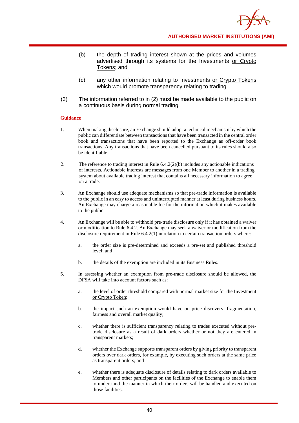- (b) the depth of trading interest shown at the prices and volumes advertised through its systems for the Investments or Crypto Tokens; and
- (c) any other information relating to Investments or Crypto Tokens which would promote transparency relating to trading.
- (3) The information referred to in (2) must be made available to the public on a continuous basis during normal trading.

- 1. When making disclosure, an Exchange should adopt a technical mechanism by which the public can differentiate between transactions that have been transacted in the central order book and transactions that have been reported to the Exchange as off-order book transactions. Any transactions that have been cancelled pursuant to its rules should also be identifiable.
- 2. The reference to trading interest in Rule 6.4.2(2)(b) includes any actionable indications of interests. Actionable interests are messages from one Member to another in a trading system about available trading interest that contains all necessary information to agree on a trade.
- 3. An Exchange should use adequate mechanisms so that pre-trade information is available to the public in an easy to access and uninterrupted manner at least during business hours. An Exchange may charge a reasonable fee for the information which it makes available to the public.
- 4. An Exchange will be able to withhold pre-trade disclosure only if it has obtained a waiver or modification to Rule 6.4.2. An Exchange may seek a waiver or modification from the disclosure requirement in Rule 6.4.2(1) in relation to certain transaction orders where:
	- a. the order size is pre-determined and exceeds a pre-set and published threshold level; and
	- b. the details of the exemption are included in its Business Rules.
- 5. In assessing whether an exemption from pre-trade disclosure should be allowed, the DFSA will take into account factors such as:
	- a. the level of order threshold compared with normal market size for the Investment or Crypto Token;
	- b. the impact such an exemption would have on price discovery, fragmentation, fairness and overall market quality;
	- c. whether there is sufficient transparency relating to trades executed without pretrade disclosure as a result of dark orders whether or not they are entered in transparent markets;
	- d. whether the Exchange supports transparent orders by giving priority to transparent orders over dark orders, for example, by executing such orders at the same price as transparent orders; and
	- e. whether there is adequate disclosure of details relating to dark orders available to Members and other participants on the facilities of the Exchange to enable them to understand the manner in which their orders will be handled and executed on those facilities.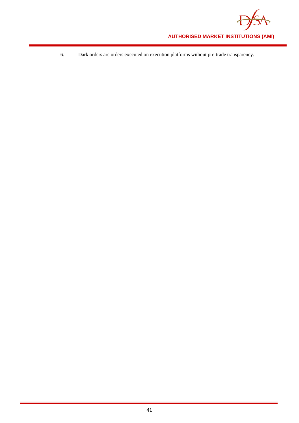

6. Dark orders are orders executed on execution platforms without pre-trade transparency.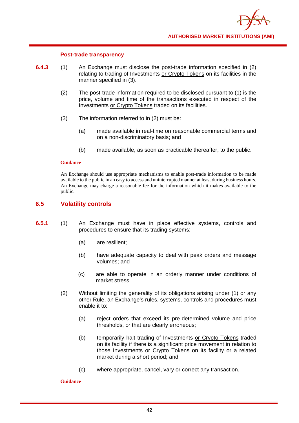

#### **Post-trade transparency**

- **6.4.3** (1) An Exchange must disclose the post-trade information specified in (2) relating to trading of Investments or Crypto Tokens on its facilities in the manner specified in (3).
	- (2) The post-trade information required to be disclosed pursuant to (1) is the price, volume and time of the transactions executed in respect of the Investments or Crypto Tokens traded on its facilities.
	- (3) The information referred to in (2) must be:
		- (a) made available in real-time on reasonable commercial terms and on a non-discriminatory basis; and
		- (b) made available, as soon as practicable thereafter, to the public.

## **Guidance**

An Exchange should use appropriate mechanisms to enable post-trade information to be made available to the public in an easy to access and uninterrupted manner at least during business hours. An Exchange may charge a reasonable fee for the information which it makes available to the public.

## **6.5 Volatility controls**

- **6.5.1** (1) An Exchange must have in place effective systems, controls and procedures to ensure that its trading systems:
	- (a) are resilient;
	- (b) have adequate capacity to deal with peak orders and message volumes; and
	- (c) are able to operate in an orderly manner under conditions of market stress.
	- (2) Without limiting the generality of its obligations arising under (1) or any other Rule, an Exchange's rules, systems, controls and procedures must enable it to:
		- (a) reject orders that exceed its pre-determined volume and price thresholds, or that are clearly erroneous;
		- (b) temporarily halt trading of Investments or Crypto Tokens traded on its facility if there is a significant price movement in relation to those Investments or Crypto Tokens on its facility or a related market during a short period; and
		- (c) where appropriate, cancel, vary or correct any transaction.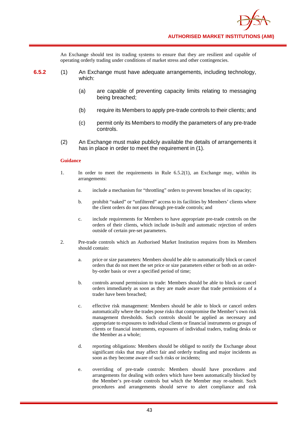An Exchange should test its trading systems to ensure that they are resilient and capable of operating orderly trading under conditions of market stress and other contingencies.

- **6.5.2** (1) An Exchange must have adequate arrangements, including technology, which:
	- (a) are capable of preventing capacity limits relating to messaging being breached;
	- (b) require its Members to apply pre-trade controls to their clients; and
	- (c) permit only its Members to modify the parameters of any pre-trade controls.
	- (2) An Exchange must make publicly available the details of arrangements it has in place in order to meet the requirement in (1).

- 1. In order to meet the requirements in Rule 6.5.2(1), an Exchange may, within its arrangements:
	- a. include a mechanism for "throttling" orders to prevent breaches of its capacity;
	- b. prohibit "naked" or "unfiltered" access to its facilities by Members' clients where the client orders do not pass through pre-trade controls; and
	- c. include requirements for Members to have appropriate pre-trade controls on the orders of their clients, which include in-built and automatic rejection of orders outside of certain pre-set parameters.
- 2. Pre-trade controls which an Authorised Market Institution requires from its Members should contain:
	- a. price or size parameters: Members should be able to automatically block or cancel orders that do not meet the set price or size parameters either or both on an orderby-order basis or over a specified period of time;
	- b. controls around permission to trade: Members should be able to block or cancel orders immediately as soon as they are made aware that trade permissions of a trader have been breached;
	- c. effective risk management: Members should be able to block or cancel orders automatically where the trades pose risks that compromise the Member's own risk management thresholds. Such controls should be applied as necessary and appropriate to exposures to individual clients or financial instruments or groups of clients or financial instruments, exposures of individual traders, trading desks or the Member as a whole;
	- d. reporting obligations: Members should be obliged to notify the Exchange about significant risks that may affect fair and orderly trading and major incidents as soon as they become aware of such risks or incidents;
	- e. overriding of pre-trade controls: Members should have procedures and arrangements for dealing with orders which have been automatically blocked by the Member's pre-trade controls but which the Member may re-submit. Such procedures and arrangements should serve to alert compliance and risk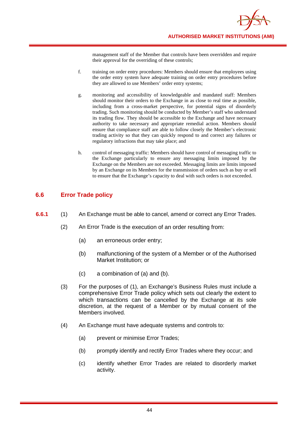management staff of the Member that controls have been overridden and require their approval for the overriding of these controls;

- f. training on order entry procedures: Members should ensure that employees using the order entry system have adequate training on order entry procedures before they are allowed to use Members' order entry systems;
- g. monitoring and accessibility of knowledgeable and mandated staff: Members should monitor their orders to the Exchange in as close to real time as possible, including from a cross-market perspective, for potential signs of disorderly trading. Such monitoring should be conducted by Member's staff who understand its trading flow. They should be accessible to the Exchange and have necessary authority to take necessary and appropriate remedial action. Members should ensure that compliance staff are able to follow closely the Member's electronic trading activity so that they can quickly respond to and correct any failures or regulatory infractions that may take place; and
- h. control of messaging traffic: Members should have control of messaging traffic to the Exchange particularly to ensure any messaging limits imposed by the Exchange on the Members are not exceeded. Messaging limits are limits imposed by an Exchange on its Members for the transmission of orders such as buy or sell to ensure that the Exchange's capacity to deal with such orders is not exceeded.

## **6.6 Error Trade policy**

- **6.6.1** (1) An Exchange must be able to cancel, amend or correct any Error Trades.
	- (2) An Error Trade is the execution of an order resulting from:
		- (a) an erroneous order entry;
		- (b) malfunctioning of the system of a Member or of the Authorised Market Institution; or
		- (c) a combination of (a) and (b).
	- (3) For the purposes of (1), an Exchange's Business Rules must include a comprehensive Error Trade policy which sets out clearly the extent to which transactions can be cancelled by the Exchange at its sole discretion, at the request of a Member or by mutual consent of the Members involved.
	- (4) An Exchange must have adequate systems and controls to:
		- (a) prevent or minimise Error Trades;
		- (b) promptly identify and rectify Error Trades where they occur; and
		- (c) identify whether Error Trades are related to disorderly market activity.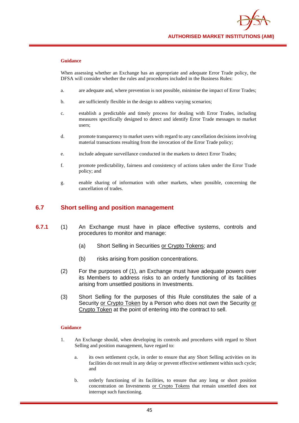

When assessing whether an Exchange has an appropriate and adequate Error Trade policy, the DFSA will consider whether the rules and procedures included in the Business Rules:

- a. are adequate and, where prevention is not possible, minimise the impact of Error Trades;
- b. are sufficiently flexible in the design to address varying scenarios;
- c. establish a predictable and timely process for dealing with Error Trades, including measures specifically designed to detect and identify Error Trade messages to market users;
- d. promote transparency to market users with regard to any cancellation decisions involving material transactions resulting from the invocation of the Error Trade policy;
- e. include adequate surveillance conducted in the markets to detect Error Trades;
- f. promote predictability, fairness and consistency of actions taken under the Error Trade policy; and
- g. enable sharing of information with other markets, when possible, concerning the cancellation of trades.

## **6.7 Short selling and position management**

- **6.7.1** (1) An Exchange must have in place effective systems, controls and procedures to monitor and manage:
	- (a) Short Selling in Securities or Crypto Tokens; and
	- (b) risks arising from position concentrations.
	- (2) For the purposes of (1), an Exchange must have adequate powers over its Members to address risks to an orderly functioning of its facilities arising from unsettled positions in Investments.
	- (3) Short Selling for the purposes of this Rule constitutes the sale of a Security or Crypto Token by a Person who does not own the Security or Crypto Token at the point of entering into the contract to sell.

- 1. An Exchange should, when developing its controls and procedures with regard to Short Selling and position management, have regard to:
	- a. its own settlement cycle, in order to ensure that any Short Selling activities on its facilities do not result in any delay or prevent effective settlement within such cycle; and
	- b. orderly functioning of its facilities, to ensure that any long or short position concentration on Investments or Crypto Tokens that remain unsettled does not interrupt such functioning.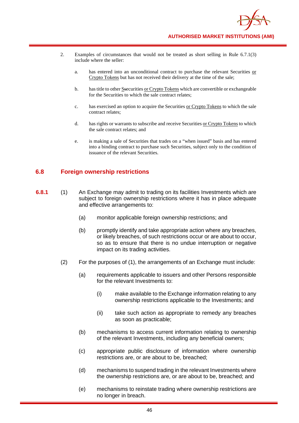- 2. Examples of circumstances that would not be treated as short selling in Rule 6.7.1(3) include where the seller:
	- a. has entered into an unconditional contract to purchase the relevant Securities or Crypto Tokens but has not received their delivery at the time of the sale;
	- b. has title to other Ssecurities or Crypto Tokens which are convertible or exchangeable for the Securities to which the sale contract relates;
	- c. has exercised an option to acquire the Securities or Crypto Tokens to which the sale contract relates;
	- d. has rights or warrants to subscribe and receive Securities or Crypto Tokens to which the sale contract relates; and
	- e. is making a sale of Securities that trades on a "when issued" basis and has entered into a binding contract to purchase such Securities, subject only to the condition of issuance of the relevant Securities.

## **6.8 Foreign ownership restrictions**

- **6.8.1** (1) An Exchange may admit to trading on its facilities Investments which are subject to foreign ownership restrictions where it has in place adequate and effective arrangements to:
	- (a) monitor applicable foreign ownership restrictions; and
	- (b) promptly identify and take appropriate action where any breaches, or likely breaches, of such restrictions occur or are about to occur, so as to ensure that there is no undue interruption or negative impact on its trading activities.
	- (2) For the purposes of (1), the arrangements of an Exchange must include:
		- (a) requirements applicable to issuers and other Persons responsible for the relevant Investments to:
			- (i) make available to the Exchange information relating to any ownership restrictions applicable to the Investments; and
			- (ii) take such action as appropriate to remedy any breaches as soon as practicable;
		- (b) mechanisms to access current information relating to ownership of the relevant Investments, including any beneficial owners;
		- (c) appropriate public disclosure of information where ownership restrictions are, or are about to be, breached;
		- (d) mechanisms to suspend trading in the relevant Investments where the ownership restrictions are, or are about to be, breached; and
		- (e) mechanisms to reinstate trading where ownership restrictions are no longer in breach.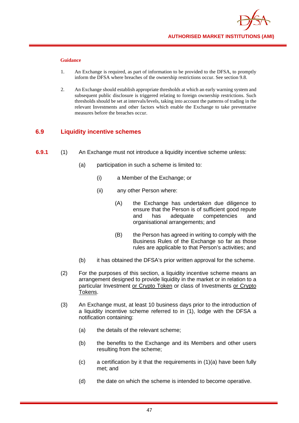

- 1. An Exchange is required, as part of information to be provided to the DFSA, to promptly inform the DFSA where breaches of the ownership restrictions occur. See section 9.8.
- 2. An Exchange should establish appropriate thresholds at which an early warning system and subsequent public disclosure is triggered relating to foreign ownership restrictions. Such thresholds should be set at intervals/levels, taking into account the patterns of trading in the relevant Investments and other factors which enable the Exchange to take preventative measures before the breaches occur.

## **6.9 Liquidity incentive schemes**

- **6.9.1** (1) An Exchange must not introduce a liquidity incentive scheme unless:
	- (a) participation in such a scheme is limited to:
		- (i) a Member of the Exchange; or
		- (ii) any other Person where:
			- (A) the Exchange has undertaken due diligence to ensure that the Person is of sufficient good repute and has adequate competencies and organisational arrangements; and
			- (B) the Person has agreed in writing to comply with the Business Rules of the Exchange so far as those rules are applicable to that Person's activities; and
	- (b) it has obtained the DFSA's prior written approval for the scheme.
	- (2) For the purposes of this section, a liquidity incentive scheme means an arrangement designed to provide liquidity in the market or in relation to a particular Investment or Crypto Token or class of Investments or Crypto Tokens.
	- (3) An Exchange must, at least 10 business days prior to the introduction of a liquidity incentive scheme referred to in (1), lodge with the DFSA a notification containing:
		- (a) the details of the relevant scheme;
		- (b) the benefits to the Exchange and its Members and other users resulting from the scheme;
		- (c) a certification by it that the requirements in (1)(a) have been fully met; and
		- (d) the date on which the scheme is intended to become operative.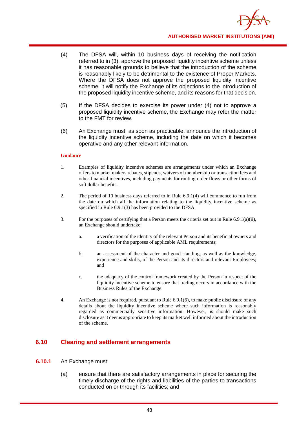

- (4) The DFSA will, within 10 business days of receiving the notification referred to in (3), approve the proposed liquidity incentive scheme unless it has reasonable grounds to believe that the introduction of the scheme is reasonably likely to be detrimental to the existence of Proper Markets. Where the DFSA does not approve the proposed liquidity incentive scheme, it will notify the Exchange of its objections to the introduction of the proposed liquidity incentive scheme, and its reasons for that decision.
- (5) If the DFSA decides to exercise its power under (4) not to approve a proposed liquidity incentive scheme, the Exchange may refer the matter to the FMT for review.
- (6) An Exchange must, as soon as practicable, announce the introduction of the liquidity incentive scheme, including the date on which it becomes operative and any other relevant information.

- 1. Examples of liquidity incentive schemes are arrangements under which an Exchange offers to market makers rebates, stipends, waivers of membership or transaction fees and other financial incentives, including payments for routing order flows or other forms of soft dollar benefits.
- 2. The period of 10 business days referred to in Rule 6.9.1(4) will commence to run from the date on which all the information relating to the liquidity incentive scheme as specified in Rule 6.9.1(3) has been provided to the DFSA.
- 3. For the purposes of certifying that a Person meets the criteria set out in Rule 6.9.1(a)(ii), an Exchange should undertake:
	- a. a verification of the identity of the relevant Person and its beneficial owners and directors for the purposes of applicable AML requirements;
	- b. an assessment of the character and good standing, as well as the knowledge, experience and skills, of the Person and its directors and relevant Employees; and
	- c. the adequacy of the control framework created by the Person in respect of the liquidity incentive scheme to ensure that trading occurs in accordance with the Business Rules of the Exchange.
- 4. An Exchange is not required, pursuant to Rule 6.9.1(6), to make public disclosure of any details about the liquidity incentive scheme where such information is reasonably regarded as commercially sensitive information. However, is should make such disclosure as it deems appropriate to keep its market well informed about the introduction of the scheme.

## **6.10 Clearing and settlement arrangements**

- **6.10.1** An Exchange must:
	- (a) ensure that there are satisfactory arrangements in place for securing the timely discharge of the rights and liabilities of the parties to transactions conducted on or through its facilities; and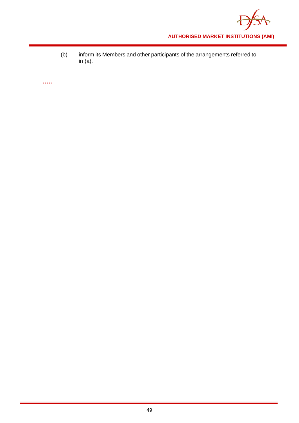

(b) inform its Members and other participants of the arrangements referred to in (a).

**…..**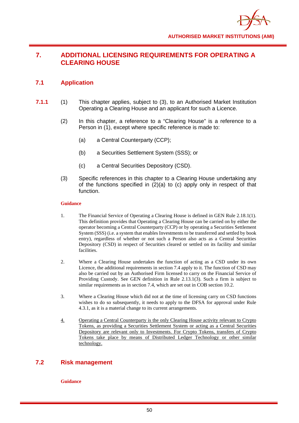

# **7. ADDITIONAL LICENSING REQUIREMENTS FOR OPERATING A CLEARING HOUSE**

## **7.1 Application**

- **7.1.1** (1) This chapter applies, subject to (3), to an Authorised Market Institution Operating a Clearing House and an applicant for such a Licence.
	- (2) In this chapter, a reference to a "Clearing House" is a reference to a Person in (1), except where specific reference is made to:
		- (a) a Central Counterparty (CCP);
		- (b) a Securities Settlement System (SSS); or
		- (c) a Central Securities Depository (CSD).
	- (3) Specific references in this chapter to a Clearing House undertaking any of the functions specified in (2)(a) to (c) apply only in respect of that function.

#### **Guidance**

- 1. The Financial Service of Operating a Clearing House is defined in GEN Rule 2.18.1(1). This definition provides that Operating a Clearing House can be carried on by either the operator becoming a Central Counterparty (CCP) or by operating a Securities Settlement System (SSS) (i.e. a system that enables Investments to be transferred and settled by book entry), regardless of whether or not such a Person also acts as a Central Securities Depository (CSD) in respect of Securities cleared or settled on its facility and similar facilities.
- 2. Where a Clearing House undertakes the function of acting as a CSD under its own Licence, the additional requirements in section 7.4 apply to it. The function of CSD may also be carried out by an Authorised Firm licensed to carry on the Financial Service of Providing Custody. See GEN definition in Rule 2.13.1(3). Such a firm is subject to similar requirements as in section 7.4, which are set out in COB section 10.2.
- 3. Where a Clearing House which did not at the time of licensing carry on CSD functions wishes to do so subsequently, it needs to apply to the DFSA for approval under Rule 4.3.1, as it is a material change to its current arrangements.
- 4. Operating a Central Counterparty is the only Clearing House activity relevant to Crypto Tokens, as providing a Securities Settlement System or acting as a Central Securities Depository are relevant only to Investments. For Crypto Tokens, transfers of Crypto Tokens take place by means of Distributed Ledger Technology or other similar technology.

## **7.2 Risk management**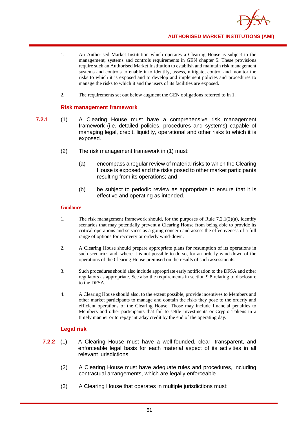

- 1. An Authorised Market Institution which operates a Clearing House is subject to the management, systems and controls requirements in GEN chapter 5. These provisions require such an Authorised Market Institution to establish and maintain risk management systems and controls to enable it to identify, assess, mitigate, control and monitor the risks to which it is exposed and to develop and implement policies and procedures to manage the risks to which it and the users of its facilities are exposed.
- 2. The requirements set out below augment the GEN obligations referred to in 1.

## **Risk management framework**

- **7.2.1**. (1) A Clearing House must have a comprehensive risk management framework (i.e. detailed policies, procedures and systems) capable of managing legal, credit, liquidity, operational and other risks to which it is exposed.
	- (2) The risk management framework in (1) must:
		- (a) encompass a regular review of material risks to which the Clearing House is exposed and the risks posed to other market participants resulting from its operations; and
		- (b) be subject to periodic review as appropriate to ensure that it is effective and operating as intended.

#### **Guidance**

- 1. The risk management framework should, for the purposes of Rule 7.2.1(2)(a), identify scenarios that may potentially prevent a Clearing House from being able to provide its critical operations and services as a going concern and assess the effectiveness of a full range of options for recovery or orderly wind-down.
- 2. A Clearing House should prepare appropriate plans for resumption of its operations in such scenarios and, where it is not possible to do so, for an orderly wind-down of the operations of the Clearing House premised on the results of such assessments.
- 3. Such procedures should also include appropriate early notification to the DFSA and other regulators as appropriate. See also the requirements in section 9.8 relating to disclosure to the DFSA.
- 4. A Clearing House should also, to the extent possible, provide incentives to Members and other market participants to manage and contain the risks they pose to the orderly and efficient operations of the Clearing House. Those may include financial penalties to Members and other participants that fail to settle Investments or Crypto Tokens in a timely manner or to repay intraday credit by the end of the operating day.

## **Legal risk**

- **7.2.2** (1) A Clearing House must have a well-founded, clear, transparent, and enforceable legal basis for each material aspect of its activities in all relevant jurisdictions.
	- (2) A Clearing House must have adequate rules and procedures, including contractual arrangements, which are legally enforceable.
	- (3) A Clearing House that operates in multiple jurisdictions must: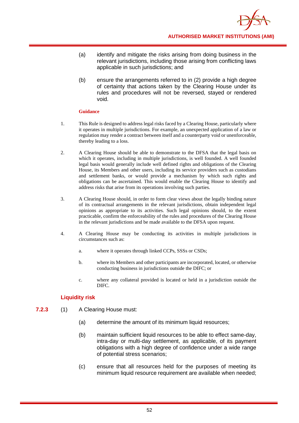

- (a) identify and mitigate the risks arising from doing business in the relevant jurisdictions, including those arising from conflicting laws applicable in such jurisdictions; and
- (b) ensure the arrangements referred to in (2) provide a high degree of certainty that actions taken by the Clearing House under its rules and procedures will not be reversed, stayed or rendered void.

- 1. This Rule is designed to address legal risks faced by a Clearing House, particularly where it operates in multiple jurisdictions. For example, an unexpected application of a law or regulation may render a contract between itself and a counterparty void or unenforceable, thereby leading to a loss.
- 2. A Clearing House should be able to demonstrate to the DFSA that the legal basis on which it operates, including in multiple jurisdictions, is well founded. A well founded legal basis would generally include well defined rights and obligations of the Clearing House, its Members and other users, including its service providers such as custodians and settlement banks, or would provide a mechanism by which such rights and obligations can be ascertained. This would enable the Clearing House to identify and address risks that arise from its operations involving such parties.
- 3. A Clearing House should, in order to form clear views about the legally binding nature of its contractual arrangements in the relevant jurisdictions, obtain independent legal opinions as appropriate to its activities. Such legal opinions should, to the extent practicable, confirm the enforceability of the rules and procedures of the Clearing House in the relevant jurisdictions and be made available to the DFSA upon request.
- 4. A Clearing House may be conducting its activities in multiple jurisdictions in circumstances such as:
	- a. where it operates through linked CCPs, SSSs or CSDs;
	- b. where its Members and other participants are incorporated, located, or otherwise conducting business in jurisdictions outside the DIFC; or
	- c. where any collateral provided is located or held in a jurisdiction outside the DIFC.

## **Liquidity risk**

- **7.2.3** (1) A Clearing House must:
	- (a) determine the amount of its minimum liquid resources;
	- (b) maintain sufficient liquid resources to be able to effect same-day, intra-day or multi-day settlement, as applicable, of its payment obligations with a high degree of confidence under a wide range of potential stress scenarios;
	- (c) ensure that all resources held for the purposes of meeting its minimum liquid resource requirement are available when needed;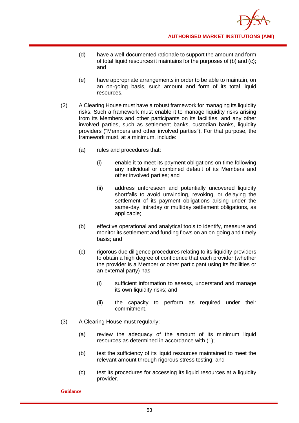- (d) have a well-documented rationale to support the amount and form of total liquid resources it maintains for the purposes of (b) and (c); and
- (e) have appropriate arrangements in order to be able to maintain, on an on-going basis, such amount and form of its total liquid resources.
- (2) A Clearing House must have a robust framework for managing its liquidity risks. Such a framework must enable it to manage liquidity risks arising from its Members and other participants on its facilities, and any other involved parties, such as settlement banks, custodian banks, liquidity providers ("Members and other involved parties"). For that purpose, the framework must, at a minimum, include:
	- (a) rules and procedures that:
		- (i) enable it to meet its payment obligations on time following any individual or combined default of its Members and other involved parties; and
		- (ii) address unforeseen and potentially uncovered liquidity shortfalls to avoid unwinding, revoking, or delaying the settlement of its payment obligations arising under the same-day, intraday or multiday settlement obligations, as applicable;
	- (b) effective operational and analytical tools to identify, measure and monitor its settlement and funding flows on an on-going and timely basis; and
	- (c) rigorous due diligence procedures relating to its liquidity providers to obtain a high degree of confidence that each provider (whether the provider is a Member or other participant using its facilities or an external party) has:
		- (i) sufficient information to assess, understand and manage its own liquidity risks; and
		- (ii) the capacity to perform as required under their commitment.
- (3) A Clearing House must regularly:
	- (a) review the adequacy of the amount of its minimum liquid resources as determined in accordance with (1);
	- (b) test the sufficiency of its liquid resources maintained to meet the relevant amount through rigorous stress testing; and
	- (c) test its procedures for accessing its liquid resources at a liquidity provider.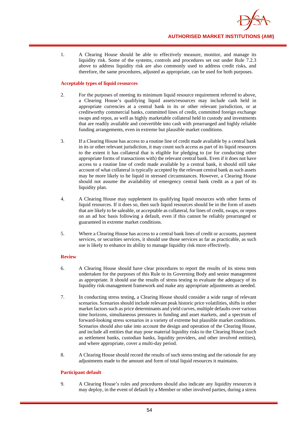1. A Clearing House should be able to effectively measure, monitor, and manage its liquidity risk. Some of the systems, controls and procedures set out under Rule 7.2.3 above to address liquidity risk are also commonly used to address credit risks, and therefore, the same procedures, adjusted as appropriate, can be used for both purposes.

#### **Acceptable types of liquid resources**

- 2. For the purposes of meeting its minimum liquid resource requirement referred to above, a Clearing House's qualifying liquid assets/resources may include cash held in appropriate currencies at a central bank in its or other relevant jurisdiction, or at creditworthy commercial banks, committed lines of credit, committed foreign exchange swaps and repos, as well as highly marketable collateral held in custody and investments that are readily available and convertible into cash with prearranged and highly reliable funding arrangements, even in extreme but plausible market conditions.
- 3. If a Clearing House has access to a routine line of credit made available by a central bank in its or other relevant jurisdiction, it may count such access as part of its liquid resources to the extent it has collateral that is eligible for pledging to (or for conducting other appropriate forms of transactions with) the relevant central bank. Even if it does not have access to a routine line of credit made available by a central bank, it should still take account of what collateral is typically accepted by the relevant central bank as such assets may be more likely to be liquid in stressed circumstances. However, a Clearing House should not assume the availability of emergency central bank credit as a part of its liquidity plan.
- 4. A Clearing House may supplement its qualifying liquid resources with other forms of liquid resources. If it does so, then such liquid resources should be in the form of assets that are likely to be saleable, or acceptable as collateral, for lines of credit, swaps, or repos on an ad hoc basis following a default, even if this cannot be reliably prearranged or guaranteed in extreme market conditions.
- 5. Where a Clearing House has access to a central bank lines of credit or accounts, payment services, or securities services, it should use those services as far as practicable, as such use is likely to enhance its ability to manage liquidity risk more effectively.

#### **Review**

- 6. A Clearing House should have clear procedures to report the results of its stress tests undertaken for the purposes of this Rule to its Governing Body and senior management as appropriate. It should use the results of stress testing to evaluate the adequacy of its liquidity risk-management framework and make any appropriate adjustments as needed.
- 7. In conducting stress testing, a Clearing House should consider a wide range of relevant scenarios. Scenarios should include relevant peak historic price volatilities, shifts in other market factors such as price determinants and yield curves, multiple defaults over various time horizons, simultaneous pressures in funding and asset markets, and a spectrum of forward-looking stress scenarios in a variety of extreme but plausible market conditions. Scenarios should also take into account the design and operation of the Clearing House, and include all entities that may pose material liquidity risks to the Clearing House (such as settlement banks, custodian banks, liquidity providers, and other involved entities), and where appropriate, cover a multi-day period.
- 8. A Clearing House should record the results of such stress testing and the rationale for any adjustments made to the amount and form of total liquid resources it maintains.

#### **Participant default**

9. A Clearing House's rules and procedures should also indicate any liquidity resources it may deploy, in the event of default by a Member or other involved parties, during a stress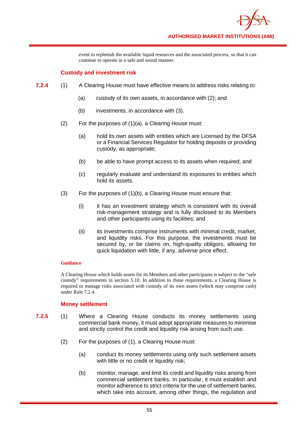event to replenish the available liquid resources and the associated process, so that it can continue to operate in a safe and sound manner.

## **Custody and investment risk**

- **7.2.4** (1) A Clearing House must have effective means to address risks relating to:
	- (a) custody of its own assets, in accordance with (2); and
	- (b) investments, in accordance with (3).
	- (2) For the purposes of (1)(a), a Clearing House must:
		- (a) hold its own assets with entities which are Licensed by the DFSA or a Financial Services Regulator for holding deposits or providing custody, as appropriate;
		- (b) be able to have prompt access to its assets when required; and
		- (c) regularly evaluate and understand its exposures to entities which hold its assets.
	- (3) For the purposes of (1)(b), a Clearing House must ensure that:
		- (i) it has an investment strategy which is consistent with its overall risk-management strategy and is fully disclosed to its Members and other participants using its facilities; and
		- (ii) its investments comprise instruments with minimal credit, market, and liquidity risks. For this purpose, the investments must be secured by, or be claims on, high-quality obligors, allowing for quick liquidation with little, if any, adverse price effect.

## **Guidance**

A Clearing House which holds assets for its Members and other participants is subject to the "safe custody" requirements in section 5.10. In addition to those requirements, a Clearing House is required to manage risks associated with custody of its own assets (which may comprise cash) under Rule 7.2.4.

## **Money settlement**

- **7.2.5** (1) Where a Clearing House conducts its money settlements using commercial bank money, it must adopt appropriate measures to minimise and strictly control the credit and liquidity risk arising from such use.
	- (2) For the purposes of (1), a Clearing House must:
		- (a) conduct its money settlements using only such settlement assets with little or no credit or liquidity risk;
		- (b) monitor, manage, and limit its credit and liquidity risks arising from commercial settlement banks. In particular, it must establish and monitor adherence to strict criteria for the use of settlement banks, which take into account, among other things, the regulation and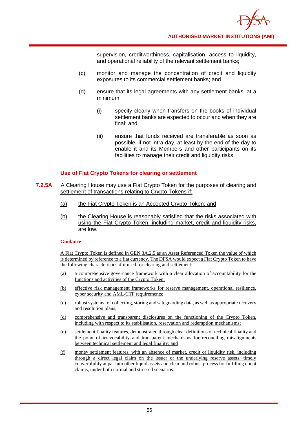supervision, creditworthiness, capitalisation, access to liquidity, and operational reliability of the relevant settlement banks;

- (c) monitor and manage the concentration of credit and liquidity exposures to its commercial settlement banks; and
- (d) ensure that its legal agreements with any settlement banks, at a minimum:
	- (i) specify clearly when transfers on the books of individual settlement banks are expected to occur and when they are final; and
	- (ii) ensure that funds received are transferable as soon as possible, if not intra-day, at least by the end of the day to enable it and its Members and other participants on its facilities to manage their credit and liquidity risks.

## **Use of Fiat Crypto Tokens for clearing or settlement**

- **7.2.5A** A Clearing House may use a Fiat Crypto Token for the purposes of clearing and settlement of transactions relating to Crypto Tokens if:
	- (a) the Fiat Crypto Token is an Accepted Crypto Token; and
	- (b) the Clearing House is reasonably satisfied that the risks associated with using the Fiat Crypto Token, including market, credit and liquidity risks, are low.

## **Guidance**

A Fiat Crypto Token is defined in GEN 3A.2.5 as an Asset Referenced Token the value of which is determined by reference to a fiat currency. The DFSA would expect a Fiat Crypto Token to have the following characteristics if it used for clearing and settlement:

- (a) a comprehensive governance framework with a clear allocation of accountability for the functions and activities of the Crypto Token;
- (b) effective risk management frameworks for reserve management, operational resilience, cyber security and AML/CTF requirements;
- (c) robust systems for collecting, storing and safeguarding data, as well as appropriate recovery and resolution plans;
- (d) comprehensive and transparent disclosures on the functioning of the Crypto Token, including with respect to its stabilisation, reservation and redemption mechanisms;
- (e) settlement finality features, demonstrated through clear definitions of technical finality and the point of irrevocability and transparent mechanisms for reconciling misalignments between technical settlement and legal finality; and
- (f) money settlement features, with an absence of market, credit or liquidity risk, including through a direct legal claim on the issuer or the underlying reserve assets, timely convertibility at par into other liquid assets and clear and robust process for fulfilling client claims, under both normal and stressed scenarios.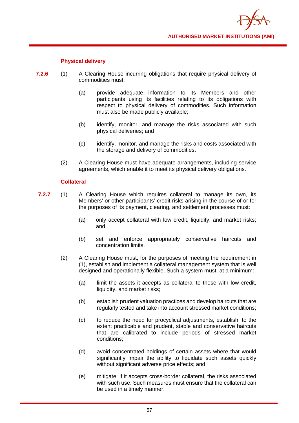

## **Physical delivery**

- **7.2.6** (1) A Clearing House incurring obligations that require physical delivery of commodities must:
	- (a) provide adequate information to its Members and other participants using its facilities relating to its obligations with respect to physical delivery of commodities. Such information must also be made publicly available;
	- (b) identify, monitor, and manage the risks associated with such physical deliveries; and
	- (c) identify, monitor, and manage the risks and costs associated with the storage and delivery of commodities.
	- (2) A Clearing House must have adequate arrangements, including service agreements, which enable it to meet its physical delivery obligations.

## **Collateral**

- **7.2.7** (1) A Clearing House which requires collateral to manage its own, its Members' or other participants' credit risks arising in the course of or for the purposes of its payment, clearing, and settlement processes must:
	- (a) only accept collateral with low credit, liquidity, and market risks; and
	- (b) set and enforce appropriately conservative haircuts and concentration limits.
	- (2) A Clearing House must, for the purposes of meeting the requirement in (1), establish and implement a collateral management system that is well designed and operationally flexible. Such a system must, at a minimum:
		- (a) limit the assets it accepts as collateral to those with low credit, liquidity, and market risks;
		- (b) establish prudent valuation practices and develop haircuts that are regularly tested and take into account stressed market conditions;
		- (c) to reduce the need for procyclical adjustments, establish, to the extent practicable and prudent, stable and conservative haircuts that are calibrated to include periods of stressed market conditions;
		- (d) avoid concentrated holdings of certain assets where that would significantly impair the ability to liquidate such assets quickly without significant adverse price effects; and
		- (e) mitigate, if it accepts cross-border collateral, the risks associated with such use. Such measures must ensure that the collateral can be used in a timely manner.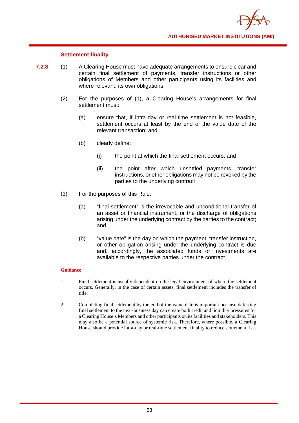

## **Settlement finality**

- **7.2.8** (1) A Clearing House must have adequate arrangements to ensure clear and certain final settlement of payments, transfer instructions or other obligations of Members and other participants using its facilities and where relevant, its own obligations.
	- (2) For the purposes of (1), a Clearing House's arrangements for final settlement must:
		- (a) ensure that, if intra-day or real-time settlement is not feasible, settlement occurs at least by the end of the value date of the relevant transaction; and
		- (b) clearly define:
			- (i) the point at which the final settlement occurs; and
			- (ii) the point after which unsettled payments, transfer instructions, or other obligations may not be revoked by the parties to the underlying contract.
	- (3) For the purposes of this Rule:
		- (a) "final settlement" is the irrevocable and unconditional transfer of an asset or financial instrument, or the discharge of obligations arising under the underlying contract by the parties to the contract; and
		- (b) "value date" is the day on which the payment, transfer instruction, or other obligation arising under the underlying contract is due and, accordingly, the associated funds or Investments are available to the respective parties under the contract.

- 1. Final settlement is usually dependent on the legal environment of where the settlement occurs. Generally, in the case of certain assets, final settlement includes the transfer of title.
- 2. Completing final settlement by the end of the value date is important because deferring final settlement to the next-business day can create both credit and liquidity pressures for a Clearing House's Members and other participants on its facilities and stakeholders. This may also be a potential source of systemic risk. Therefore, where possible, a Clearing House should provide intra-day or real-time settlement finality to reduce settlement risk.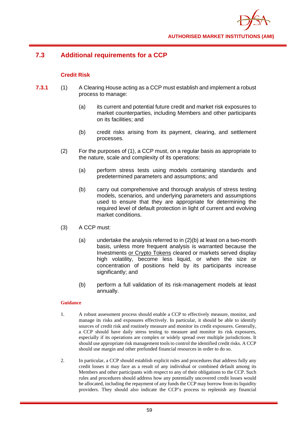

# **7.3 Additional requirements for a CCP**

## **Credit Risk**

- **7.3.1** (1) A Clearing House acting as a CCP must establish and implement a robust process to manage:
	- (a) its current and potential future credit and market risk exposures to market counterparties, including Members and other participants on its facilities; and
	- (b) credit risks arising from its payment, clearing, and settlement processes.
	- (2) For the purposes of (1), a CCP must, on a regular basis as appropriate to the nature, scale and complexity of its operations:
		- (a) perform stress tests using models containing standards and predetermined parameters and assumptions; and
		- (b) carry out comprehensive and thorough analysis of stress testing models, scenarios, and underlying parameters and assumptions used to ensure that they are appropriate for determining the required level of default protection in light of current and evolving market conditions.
	- (3) A CCP must:
		- (a) undertake the analysis referred to in (2)(b) at least on a two-month basis, unless more frequent analysis is warranted because the Investments or Crypto Tokens cleared or markets served display high volatility, become less liquid, or when the size or concentration of positions held by its participants increase significantly; and
		- (b) perform a full validation of its risk-management models at least annually.

- 1. A robust assessment process should enable a CCP to effectively measure, monitor, and manage its risks and exposures effectively. In particular, it should be able to identify sources of credit risk and routinely measure and monitor its credit exposures. Generally, a CCP should have daily stress testing to measure and monitor its risk exposures, especially if its operations are complex or widely spread over multiple jurisdictions. It should use appropriate risk management tools to control the identified credit risks. A CCP should use margin and other prefunded financial resources in order to do so.
- 2. In particular, a CCP should establish explicit rules and procedures that address fully any credit losses it may face as a result of any individual or combined default among its Members and other participants with respect to any of their obligations to the CCP. Such rules and procedures should address how any potentially uncovered credit losses would be allocated, including the repayment of any funds the CCP may borrow from its liquidity providers. They should also indicate the CCP's process to replenish any financial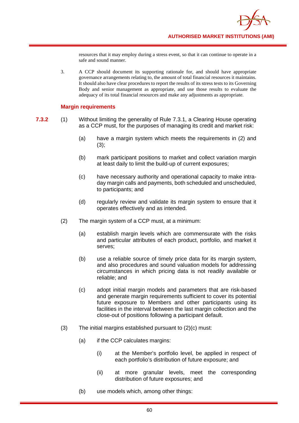resources that it may employ during a stress event, so that it can continue to operate in a safe and sound manner.

3. A CCP should document its supporting rationale for, and should have appropriate governance arrangements relating to, the amount of total financial resources it maintains. It should also have clear procedures to report the results of its stress tests to its Governing Body and senior management as appropriate, and use those results to evaluate the adequacy of its total financial resources and make any adjustments as appropriate.

## **Margin requirements**

- **7.3.2** (1) Without limiting the generality of Rule 7.3.1, a Clearing House operating as a CCP must, for the purposes of managing its credit and market risk:
	- (a) have a margin system which meets the requirements in (2) and  $(3)$ ;
	- (b) mark participant positions to market and collect variation margin at least daily to limit the build-up of current exposures;
	- (c) have necessary authority and operational capacity to make intraday margin calls and payments, both scheduled and unscheduled, to participants; and
	- (d) regularly review and validate its margin system to ensure that it operates effectively and as intended.
	- (2) The margin system of a CCP must, at a minimum:
		- (a) establish margin levels which are commensurate with the risks and particular attributes of each product, portfolio, and market it serves;
		- (b) use a reliable source of timely price data for its margin system, and also procedures and sound valuation models for addressing circumstances in which pricing data is not readily available or reliable; and
		- (c) adopt initial margin models and parameters that are risk-based and generate margin requirements sufficient to cover its potential future exposure to Members and other participants using its facilities in the interval between the last margin collection and the close-out of positions following a participant default.
	- (3) The initial margins established pursuant to (2)(c) must:
		- (a) if the CCP calculates margins:
			- (i) at the Member's portfolio level, be applied in respect of each portfolio's distribution of future exposure; and
			- (ii) at more granular levels, meet the corresponding distribution of future exposures; and
		- (b) use models which, among other things: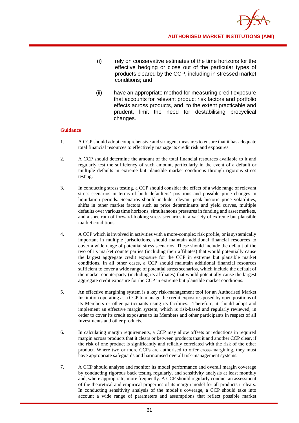- (i) rely on conservative estimates of the time horizons for the effective hedging or close out of the particular types of products cleared by the CCP, including in stressed market conditions; and
- (ii) have an appropriate method for measuring credit exposure that accounts for relevant product risk factors and portfolio effects across products, and, to the extent practicable and prudent, limit the need for destabilising procyclical changes.

- 1. A CCP should adopt comprehensive and stringent measures to ensure that it has adequate total financial resources to effectively manage its credit risk and exposures.
- 2. A CCP should determine the amount of the total financial resources available to it and regularly test the sufficiency of such amount, particularly in the event of a default or multiple defaults in extreme but plausible market conditions through rigorous stress testing.
- 3. In conducting stress testing, a CCP should consider the effect of a wide range of relevant stress scenarios in terms of both defaulters' positions and possible price changes in liquidation periods. Scenarios should include relevant peak historic price volatilities, shifts in other market factors such as price determinants and yield curves, multiple defaults over various time horizons, simultaneous pressures in funding and asset markets, and a spectrum of forward-looking stress scenarios in a variety of extreme but plausible market conditions.
- 4. A CCP which is involved in activities with a more-complex risk profile, or is systemically important in multiple jurisdictions, should maintain additional financial resources to cover a wide range of potential stress scenarios. These should include the default of the two of its market counterparties (including their affiliates) that would potentially cause the largest aggregate credit exposure for the CCP in extreme but plausible market conditions. In all other cases, a CCP should maintain additional financial resources sufficient to cover a wide range of potential stress scenarios, which include the default of the market counterparty (including its affiliates) that would potentially cause the largest aggregate credit exposure for the CCP in extreme but plausible market conditions.
- 5. An effective margining system is a key risk-management tool for an Authorised Market Institution operating as a CCP to manage the credit exposures posed by open positions of its Members or other participants using its facilities. Therefore, it should adopt and implement an effective margin system, which is risk-based and regularly reviewed, in order to cover its credit exposures to its Members and other participants in respect of all Investments and other products.
- 6. In calculating margin requirements, a CCP may allow offsets or reductions in required margin across products that it clears or between products that it and another CCP clear, if the risk of one product is significantly and reliably correlated with the risk of the other product. Where two or more CCPs are authorised to offer cross-margining, they must have appropriate safeguards and harmonised overall risk-management systems.
- 7. A CCP should analyse and monitor its model performance and overall margin coverage by conducting rigorous back testing regularly, and sensitivity analysis at least monthly and, where appropriate, more frequently. A CCP should regularly conduct an assessment of the theoretical and empirical properties of its margin model for all products it clears. In conducting sensitivity analysis of the model's coverage, a CCP should take into account a wide range of parameters and assumptions that reflect possible market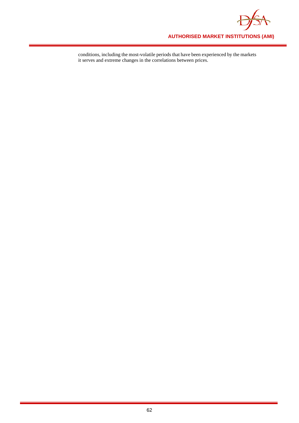

conditions, including the most-volatile periods that have been experienced by the markets it serves and extreme changes in the correlations between prices.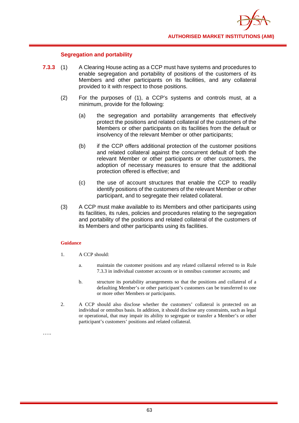

## **Segregation and portability**

- **7.3.3** (1) A Clearing House acting as a CCP must have systems and procedures to enable segregation and portability of positions of the customers of its Members and other participants on its facilities, and any collateral provided to it with respect to those positions.
	- (2) For the purposes of (1), a CCP's systems and controls must, at a minimum, provide for the following:
		- (a) the segregation and portability arrangements that effectively protect the positions and related collateral of the customers of the Members or other participants on its facilities from the default or insolvency of the relevant Member or other participants;
		- (b) if the CCP offers additional protection of the customer positions and related collateral against the concurrent default of both the relevant Member or other participants or other customers, the adoption of necessary measures to ensure that the additional protection offered is effective; and
		- (c) the use of account structures that enable the CCP to readily identify positions of the customers of the relevant Member or other participant, and to segregate their related collateral.
	- (3) A CCP must make available to its Members and other participants using its facilities, its rules, policies and procedures relating to the segregation and portability of the positions and related collateral of the customers of its Members and other participants using its facilities.

#### **Guidance**

- 1. A CCP should:
	- a. maintain the customer positions and any related collateral referred to in Rule 7.3.3 in individual customer accounts or in omnibus customer accounts; and
	- b. structure its portability arrangements so that the positions and collateral of a defaulting Member's or other participant's customers can be transferred to one or more other Members or participants.
- 2. A CCP should also disclose whether the customers' collateral is protected on an individual or omnibus basis. In addition, it should disclose any constraints, such as legal or operational, that may impair its ability to segregate or transfer a Member's or other participant's customers' positions and related collateral.

……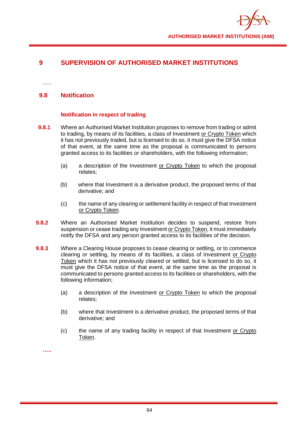

# **9 SUPERVISION OF AUTHORISED MARKET INSTITUTIONS**

…..

## **9.8 Notification**

## **Notification in respect of trading**

- **9.8.1** Where an Authorised Market Institution proposes to remove from trading or admit to trading, by means of its facilities, a class of Investment or Crypto Token which it has not previously traded, but is licensed to do so, it must give the DFSA notice of that event, at the same time as the proposal is communicated to persons granted access to its facilities or shareholders, with the following information;
	- (a) a description of the Investment or Crypto Token to which the proposal relates;
	- (b) where that Investment is a derivative product, the proposed terms of that derivative; and
	- (c) the name of any clearing or settlement facility in respect of that Investment or Crypto Token.
- **9.8.2** Where an Authorised Market Institution decides to suspend, restore from suspension or cease trading any Investment or Crypto Token, it must immediately notify the DFSA and any person granted access to its facilities of the decision.
- **9.8.3** Where a Clearing House proposes to cease clearing or settling, or to commence clearing or settling, by means of its facilities, a class of Investment or Crypto Token which it has not previously cleared or settled, but is licensed to do so, it must give the DFSA notice of that event, at the same time as the proposal is communicated to persons granted access to its facilities or shareholders, with the following information;
	- (a) a description of the Investment or Crypto Token to which the proposal relates;
	- (b) where that Investment is a derivative product, the proposed terms of that derivative; and
	- (c) the name of any trading facility in respect of that Investment or Crypto Token.

**…..**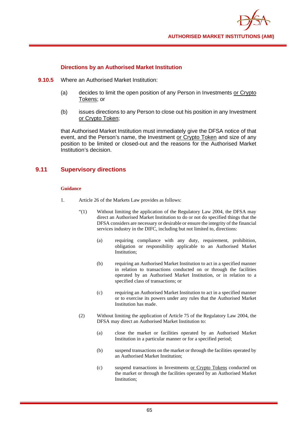

## **Directions by an Authorised Market Institution**

- **9.10.5** Where an Authorised Market Institution:
	- (a) decides to limit the open position of any Person in Investments or Crypto Tokens; or
	- (b) issues directions to any Person to close out his position in any Investment or Crypto Token;

that Authorised Market Institution must immediately give the DFSA notice of that event, and the Person's name, the Investment or Crypto Token and size of any position to be limited or closed-out and the reasons for the Authorised Market Institution's decision.

## **9.11 Supervisory directions**

- 1. Article 26 of the Markets Law provides as follows:
	- $\cdot$  "(1) Without limiting the application of the Regulatory Law 2004, the DFSA may direct an Authorised Market Institution to do or not do specified things that the DFSA considers are necessary or desirable or ensure the integrity of the financial services industry in the DIFC, including but not limited to, directions:
		- (a) requiring compliance with any duty, requirement, prohibition, obligation or responsibility applicable to an Authorised Market Institution;
		- (b) requiring an Authorised Market Institution to act in a specified manner in relation to transactions conducted on or through the facilities operated by an Authorised Market Institution, or in relation to a specified class of transactions; or
		- (c) requiring an Authorised Market Institution to act in a specified manner or to exercise its powers under any rules that the Authorised Market Institution has made.
	- (2) Without limiting the application of Article 75 of the Regulatory Law 2004, the DFSA may direct an Authorised Market Institution to:
		- (a) close the market or facilities operated by an Authorised Market Institution in a particular manner or for a specified period;
		- (b) suspend transactions on the market or through the facilities operated by an Authorised Market Institution;
		- (c) suspend transactions in Investments or Crypto Tokens conducted on the market or through the facilities operated by an Authorised Market Institution;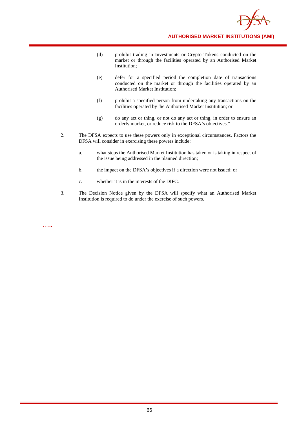

- (d) prohibit trading in Investments or Crypto Tokens conducted on the market or through the facilities operated by an Authorised Market Institution;
- (e) defer for a specified period the completion date of transactions conducted on the market or through the facilities operated by an Authorised Market Institution;
- (f) prohibit a specified person from undertaking any transactions on the facilities operated by the Authorised Market Institution; or
- (g) do any act or thing, or not do any act or thing, in order to ensure an orderly market, or reduce risk to the DFSA's objectives."
- 2. The DFSA expects to use these powers only in exceptional circumstances. Factors the DFSA will consider in exercising these powers include:
	- a. what steps the Authorised Market Institution has taken or is taking in respect of the issue being addressed in the planned direction;
	- b. the impact on the DFSA's objectives if a direction were not issued; or
	- c. whether it is in the interests of the DIFC.
- 3. The Decision Notice given by the DFSA will specify what an Authorised Market Institution is required to do under the exercise of such powers.

…..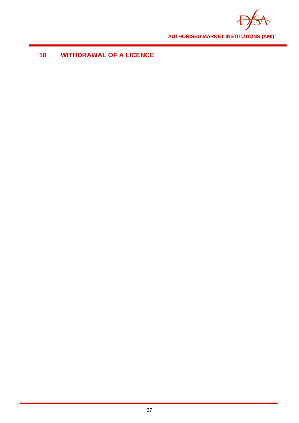

# **WITHDRAWAL OF A LICENCE**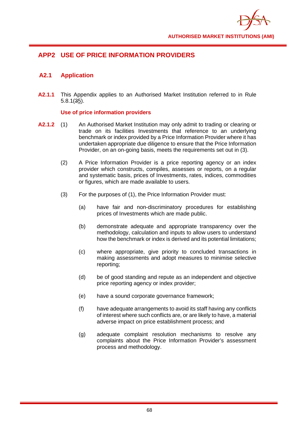

# **APP2 USE OF PRICE INFORMATION PROVIDERS**

## **A2.1 Application**

**A2.1.1** This Appendix applies to an Authorised Market Institution referred to in Rule 5.8.1(35).

## **Use of price information providers**

- **A2.1.2** (1) An Authorised Market Institution may only admit to trading or clearing or trade on its facilities Investments that reference to an underlying benchmark or index provided by a Price Information Provider where it has undertaken appropriate due diligence to ensure that the Price Information Provider, on an on-going basis, meets the requirements set out in (3).
	- (2) A Price Information Provider is a price reporting agency or an index provider which constructs, compiles, assesses or reports, on a regular and systematic basis, prices of Investments, rates, indices, commodities or figures, which are made available to users.
	- (3) For the purposes of (1), the Price Information Provider must:
		- (a) have fair and non-discriminatory procedures for establishing prices of Investments which are made public.
		- (b) demonstrate adequate and appropriate transparency over the methodology, calculation and inputs to allow users to understand how the benchmark or index is derived and its potential limitations;
		- (c) where appropriate, give priority to concluded transactions in making assessments and adopt measures to minimise selective reporting;
		- (d) be of good standing and repute as an independent and objective price reporting agency or index provider;
		- (e) have a sound corporate governance framework;
		- (f) have adequate arrangements to avoid its staff having any conflicts of interest where such conflicts are, or are likely to have, a material adverse impact on price establishment process; and
		- (g) adequate complaint resolution mechanisms to resolve any complaints about the Price Information Provider's assessment process and methodology.